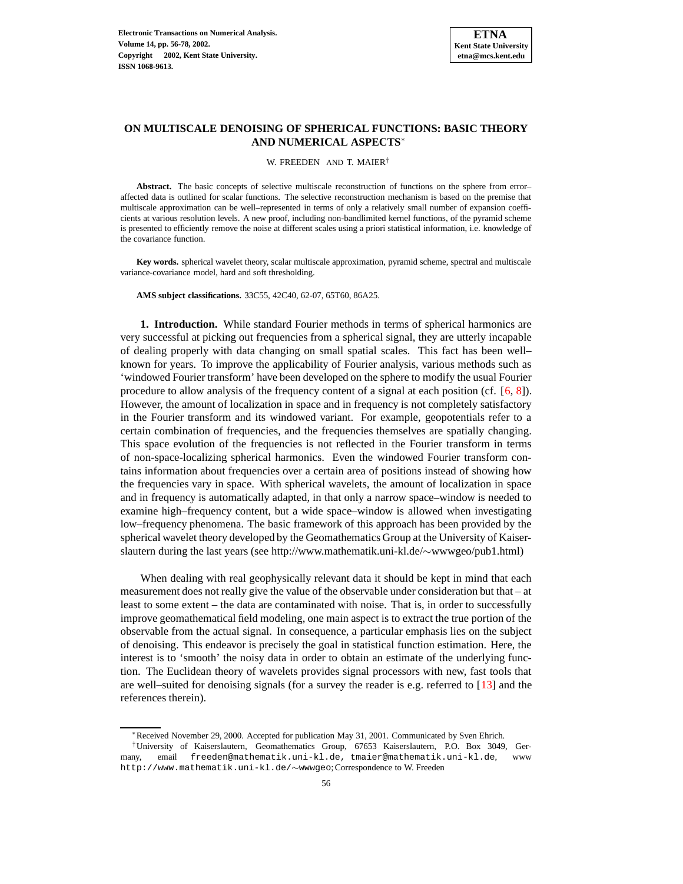

# **ON MULTISCALE DENOISING OF SPHERICAL FUNCTIONS: BASIC THEORY AND NUMERICAL ASPECTS**<sup>∗</sup>

#### W. FREEDEN AND T. MAIER<sup>†</sup>

**Abstract.** The basic concepts of selective multiscale reconstruction of functions on the sphere from error– affected data is outlined for scalar functions. The selective reconstruction mechanism is based on the premise that multiscale approximation can be well–represented in terms of only a relatively small number of expansion coefficients at various resolution levels. A new proof, including non-bandlimited kernel functions, of the pyramid scheme is presented to efficiently remove the noise at different scales using a priori statistical information, i.e. knowledge of the covariance function.

**Key words.** spherical wavelet theory, scalar multiscale approximation, pyramid scheme, spectral and multiscale variance-covariance model, hard and soft thresholding.

**AMS subject classifications.** 33C55, 42C40, 62-07, 65T60, 86A25.

**1. Introduction.** While standard Fourier methods in terms of spherical harmonics are very successful at picking out frequencies from a spherical signal, they are utterly incapable of dealing properly with data changing on small spatial scales. This fact has been well– known for years. To improve the applicability of Fourier analysis, various methods such as 'windowed Fourier transform' have been developed on the sphere to modify the usual Fourier procedure to allow analysis of the frequency content of a signal at each position (cf. [\[6,](#page-20-0) [8\]](#page-20-1)). However, the amount of localization in space and in frequency is not completely satisfactory in the Fourier transform and its windowed variant. For example, geopotentials refer to a certain combination of frequencies, and the frequencies themselves are spatially changing. This space evolution of the frequencies is not reflected in the Fourier transform in terms of non-space-localizing spherical harmonics. Even the windowed Fourier transform contains information about frequencies over a certain area of positions instead of showing how the frequencies vary in space. With spherical wavelets, the amount of localization in space and in frequency is automatically adapted, in that only a narrow space–window is needed to examine high–frequency content, but a wide space–window is allowed when investigating low–frequency phenomena. The basic framework of this approach has been provided by the spherical wavelet theory developed by the Geomathematics Group at the University of Kaiserslautern during the last years (see http://www.mathematik.uni-kl.de/∼wwwgeo/pub1.html)

When dealing with real geophysically relevant data it should be kept in mind that each measurement does not really give the value of the observable under consideration but that – at least to some extent – the data are contaminated with noise. That is, in order to successfully improve geomathematical field modeling, one main aspect is to extract the true portion of the observable from the actual signal. In consequence, a particular emphasis lies on the subject of denoising. This endeavor is precisely the goal in statistical function estimation. Here, the interest is to 'smooth' the noisy data in order to obtain an estimate of the underlying function. The Euclidean theory of wavelets provides signal processors with new, fast tools that are well–suited for denoising signals (for a survey the reader is e.g. referred to [\[13\]](#page-20-2) and the references therein).

<sup>∗</sup>Received November 29, 2000. Accepted for publication May 31, 2001. Communicated by Sven Ehrich.

<sup>†</sup>University of Kaiserslautern, Geomathematics Group, 67653 Kaiserslautern, P.O. Box 3049, Germany, email freeden@mathematik.uni-kl.de, tmaier@mathematik.uni-kl.de, www http://www.mathematik.uni-kl.de/∼wwwgeo; Correspondence to W. Freeden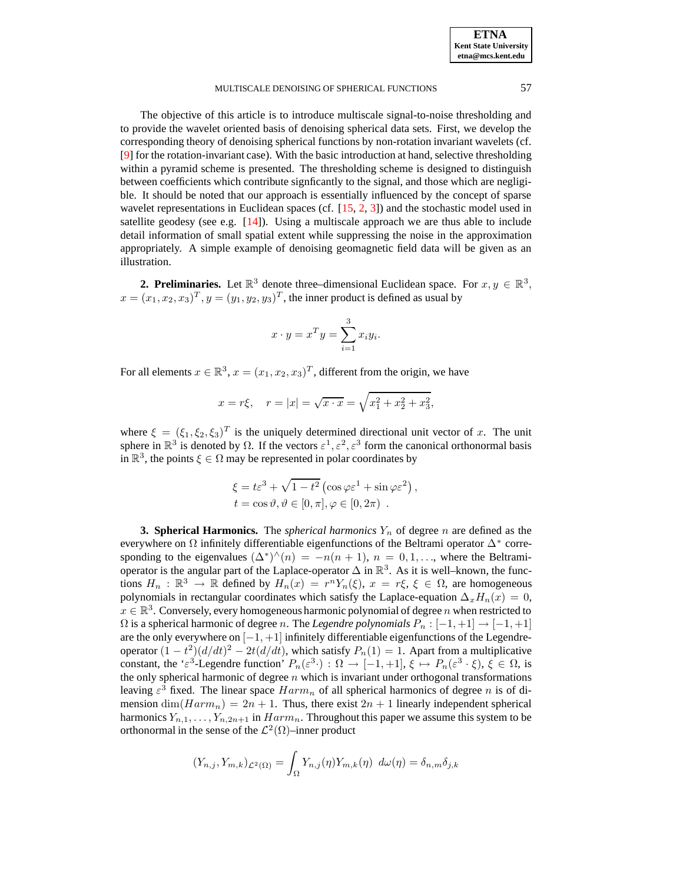The objective of this article is to introduce multiscale signal-to-noise thresholding and to provide the wavelet oriented basis of denoising spherical data sets. First, we develop the corresponding theory of denoising spherical functions by non-rotation invariant wavelets (cf. [\[9\]](#page-20-3) for the rotation-invariant case). With the basic introduction at hand, selective thresholding within a pyramid scheme is presented. The thresholding scheme is designed to distinguish between coefficients which contribute signficantly to the signal, and those which are negligible. It should be noted that our approach is essentially influenced by the concept of sparse wavelet representations in Euclidean spaces (cf. [\[15,](#page-20-4) [2,](#page-20-5) [3\]](#page-20-6)) and the stochastic model used in satellite geodesy (see e.g.  $[14]$ ). Using a multiscale approach we are thus able to include detail information of small spatial extent while suppressing the noise in the approximation appropriately. A simple example of denoising geomagnetic field data will be given as an illustration.

**2. Preliminaries.** Let  $\mathbb{R}^3$  denote three–dimensional Euclidean space. For  $x, y \in \mathbb{R}^3$ ,  $x = (x_1, x_2, x_3)^T, y = (y_1, y_2, y_3)^T$ , the inner product is defined as usual by

$$
x \cdot y = x^T y = \sum_{i=1}^3 x_i y_i.
$$

For all elements  $x \in \mathbb{R}^3$ ,  $x = (x_1, x_2, x_3)^T$ , different from the origin, we have

$$
x = r\xi
$$
,  $r = |x| = \sqrt{x \cdot x} = \sqrt{x_1^2 + x_2^2 + x_3^2}$ ,

where  $\xi = (\xi_1, \xi_2, \xi_3)^T$  is the uniquely determined directional unit vector of x. The unit sphere in  $\mathbb{R}^3$  is denoted by  $\Omega$ . If the vectors  $\varepsilon^1, \varepsilon^2, \varepsilon^3$  form the canonical orthonormal basis in  $\mathbb{R}^3$ , the points  $\xi \in \Omega$  may be represented in polar coordinates by

$$
\xi = t\varepsilon^3 + \sqrt{1 - t^2} \left( \cos \varphi \varepsilon^1 + \sin \varphi \varepsilon^2 \right),
$$
  

$$
t = \cos \vartheta, \vartheta \in [0, \pi], \varphi \in [0, 2\pi) .
$$

**3. Spherical Harmonics.** The *spherical harmonics*  $Y_n$  of degree n are defined as the everywhere on  $\Omega$  infinitely differentiable eigenfunctions of the Beltrami operator  $\Delta^*$  corresponding to the eigenvalues  $(\Delta^*)^{\wedge}(n) = -n(n+1), n = 0, 1, \ldots$ , where the Beltramioperator is the angular part of the Laplace-operator  $\Delta$  in  $\mathbb{R}^3$ . As it is well–known, the functions  $H_n : \mathbb{R}^3 \to \mathbb{R}$  defined by  $H_n(x) = r^n Y_n(\xi)$ ,  $x = r\xi, \xi \in \Omega$ , are homogeneous polynomials in rectangular coordinates which satisfy the Laplace-equation  $\Delta_x H_n(x) = 0$ ,  $x \in \mathbb{R}^3$ . Conversely, every homogeneous harmonic polynomial of degree n when restricted to  $\Omega$  is a spherical harmonic of degree *n*. The *Legendre polynomials*  $P_n : [-1, +1] \to [-1, +1]$ are the only everywhere on [−1, +1] infinitely differentiable eigenfunctions of the Legendreoperator  $(1 - t^2)(d/dt)^2 - 2t(d/dt)$ , which satisfy  $P_n(1) = 1$ . Apart from a multiplicative constant, the ' $\varepsilon^3$ -Legendre function'  $P_n(\varepsilon^3)$ :  $\Omega \to [-1,+1], \xi \mapsto P_n(\varepsilon^3 \cdot \xi), \xi \in \Omega$ , is the only spherical harmonic of degree  $n$  which is invariant under orthogonal transformations leaving  $\varepsilon^3$  fixed. The linear space  $Harm_n$  of all spherical harmonics of degree n is of dimension  $\dim(Harm_n) = 2n + 1$ . Thus, there exist  $2n + 1$  linearly independent spherical harmonics  $Y_{n,1}, \ldots, Y_{n,2n+1}$  in  $Harm_n$ . Throughout this paper we assume this system to be orthonormal in the sense of the  $\mathcal{L}^2(\Omega)$ -inner product

$$
(Y_{n,j}, Y_{m,k})_{\mathcal{L}^2(\Omega)} = \int_{\Omega} Y_{n,j}(\eta) Y_{m,k}(\eta) \ d\omega(\eta) = \delta_{n,m} \delta_{j,k}
$$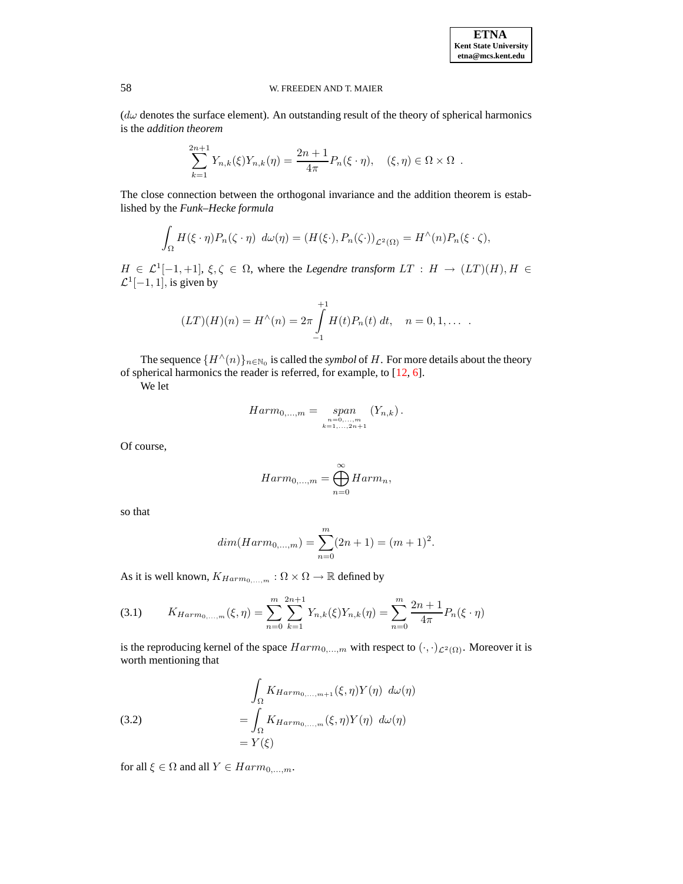$(d\omega)$  denotes the surface element). An outstanding result of the theory of spherical harmonics is the *addition theorem*

$$
\sum_{k=1}^{2n+1} Y_{n,k}(\xi) Y_{n,k}(\eta) = \frac{2n+1}{4\pi} P_n(\xi \cdot \eta), \quad (\xi, \eta) \in \Omega \times \Omega .
$$

The close connection between the orthogonal invariance and the addition theorem is established by the *Funk–Hecke formula*

$$
\int_{\Omega} H(\xi \cdot \eta) P_n(\zeta \cdot \eta) \ d\omega(\eta) = (H(\xi \cdot), P_n(\zeta \cdot))_{\mathcal{L}^2(\Omega)} = H^{\wedge}(n) P_n(\xi \cdot \zeta),
$$

 $H \in \mathcal{L}^1[-1,+1], \xi, \zeta \in \Omega$ , where the *Legendre transform*  $LT : H \to (LT)(H), H \in \mathcal{L}^1[-1,+1],$  $\mathcal{L}^1[-1,1]$ , is given by

$$
(LT)(H)(n) = H^{\wedge}(n) = 2\pi \int_{-1}^{+1} H(t)P_n(t) dt, \quad n = 0, 1, \dots
$$

The sequence  $\{H^{\wedge}(n)\}_{n\in\mathbb{N}_0}$  is called the *symbol* of H. For more details about the theory of spherical harmonics the reader is referred, for example, to [\[12,](#page-20-8) [6\]](#page-20-0).

We let

$$
Harm_{0,...,m} = \text{span}_{\substack{n=0,...,m\\k=1,...,2n+1}} (Y_{n,k}).
$$

Of course,

$$
Harm_{0,\dots,m} = \bigoplus_{n=0}^{\infty} Harm_n,
$$

so that

$$
dim(Harm_{0,\dots,m}) = \sum_{n=0}^{m} (2n+1) = (m+1)^2.
$$

As it is well known,  $K_{Harm_0,...,m}$ :  $\Omega \times \Omega \rightarrow \mathbb{R}$  defined by

<span id="page-2-0"></span>(3.1) 
$$
K_{Harm_{0,\dots,m}}(\xi,\eta) = \sum_{n=0}^{m} \sum_{k=1}^{2n+1} Y_{n,k}(\xi) Y_{n,k}(\eta) = \sum_{n=0}^{m} \frac{2n+1}{4\pi} P_n(\xi \cdot \eta)
$$

is the reproducing kernel of the space  $Harm_{0,\dots,m}$  with respect to  $(\cdot, \cdot)_{\mathcal{L}^2(\Omega)}$ . Moreover it is worth mentioning that

(3.2)  
\n
$$
\int_{\Omega} K_{Harm_{0,\dots,m+1}}(\xi,\eta) Y(\eta) d\omega(\eta)
$$
\n
$$
= \int_{\Omega} K_{Harm_{0,\dots,m}}(\xi,\eta) Y(\eta) d\omega(\eta)
$$
\n
$$
= Y(\xi)
$$

for all  $\xi \in \Omega$  and all  $Y \in Harm_{0,...,m}$ .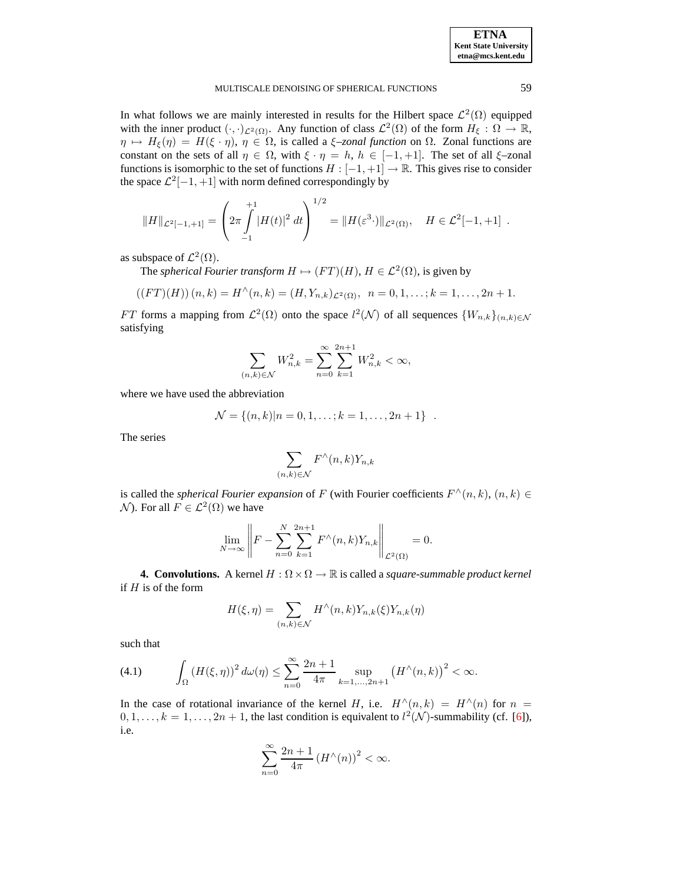| <b>ETNA</b>                  |
|------------------------------|
| <b>Kent State University</b> |
| etna@mcs.kent.edu            |

In what follows we are mainly interested in results for the Hilbert space  $\mathcal{L}^2(\Omega)$  equipped with the inner product  $(\cdot, \cdot)_{\mathcal{L}^2(\Omega)}$ . Any function of class  $\mathcal{L}^2(\Omega)$  of the form  $H_{\xi}: \Omega \to \mathbb{R}$ ,  $\eta \mapsto H_{\xi}(\eta) = H(\xi \cdot \eta), \, \eta \in \Omega$ , is called a  $\xi$ -zonal *function* on  $\Omega$ . Zonal functions are constant on the sets of all  $\eta \in \Omega$ , with  $\xi \cdot \eta = h$ ,  $h \in [-1, +1]$ . The set of all  $\xi$ -zonal functions is isomorphic to the set of functions  $H : [-1, +1] \to \mathbb{R}$ . This gives rise to consider the space  $\mathcal{L}^2[-1, +1]$  with norm defined correspondingly by

$$
||H||_{\mathcal{L}^2[-1, +1]} = \left(2\pi \int_{-1}^{+1} |H(t)|^2 dt\right)^{1/2} = ||H(\varepsilon^3 \cdot)||_{\mathcal{L}^2(\Omega)}, \quad H \in \mathcal{L}^2[-1, +1].
$$

as subspace of  $\mathcal{L}^2(\Omega)$ .

The *spherical Fourier transform*  $H \mapsto (FT)(H)$ ,  $H \in \mathcal{L}^2(\Omega)$ , is given by

$$
((FT)(H))(n,k) = H^{\wedge}(n,k) = (H, Y_{n,k})_{\mathcal{L}^2(\Omega)}, \quad n = 0, 1, \ldots; k = 1, \ldots, 2n+1.
$$

FT forms a mapping from  $\mathcal{L}^2(\Omega)$  onto the space  $l^2(\mathcal{N})$  of all sequences  $\{W_{n,k}\}_{(n,k)\in\mathcal{N}}$ satisfying

$$
\sum_{(n,k)\in\mathcal{N}} W_{n,k}^2 = \sum_{n=0}^{\infty} \sum_{k=1}^{2n+1} W_{n,k}^2 < \infty,
$$

where we have used the abbreviation

$$
\mathcal{N} = \{(n,k)|n = 0, 1, \ldots; k = 1, \ldots, 2n + 1\}.
$$

The series

$$
\sum_{(n,k)\in\mathcal{N}} F^{\wedge}(n,k)Y_{n,k}
$$

is called the *spherical Fourier expansion* of F (with Fourier coefficients  $F^{\wedge}(n, k)$ ,  $(n, k) \in$  $N$ ). For all  $F \in \mathcal{L}^2(\Omega)$  we have

$$
\lim_{N \to \infty} \left\| F - \sum_{n=0}^{N} \sum_{k=1}^{2n+1} F^{\wedge}(n,k) Y_{n,k} \right\|_{\mathcal{L}^2(\Omega)} = 0.
$$

**4. Convolutions.** A kernel  $H : \Omega \times \Omega \to \mathbb{R}$  is called a *square-summable product kernel* if  $H$  is of the form

$$
H(\xi, \eta) = \sum_{(n,k)\in\mathcal{N}} H^{\wedge}(n,k)Y_{n,k}(\xi)Y_{n,k}(\eta)
$$

such that

(4.1) 
$$
\int_{\Omega} (H(\xi, \eta))^2 d\omega(\eta) \leq \sum_{n=0}^{\infty} \frac{2n+1}{4\pi} \sup_{k=1,...,2n+1} (H^{\wedge}(n,k))^2 < \infty.
$$

In the case of rotational invariance of the kernel H, i.e.  $H^{\wedge}(n, k) = H^{\wedge}(n)$  for  $n =$  $0, 1, \ldots, k = 1, \ldots, 2n + 1$ , the last condition is equivalent to  $l^2(\mathcal{N})$ -summability (cf. [\[6\]](#page-20-0)), i.e.

$$
\sum_{n=0}^{\infty} \frac{2n+1}{4\pi} \left( H^{\wedge}(n) \right)^2 < \infty.
$$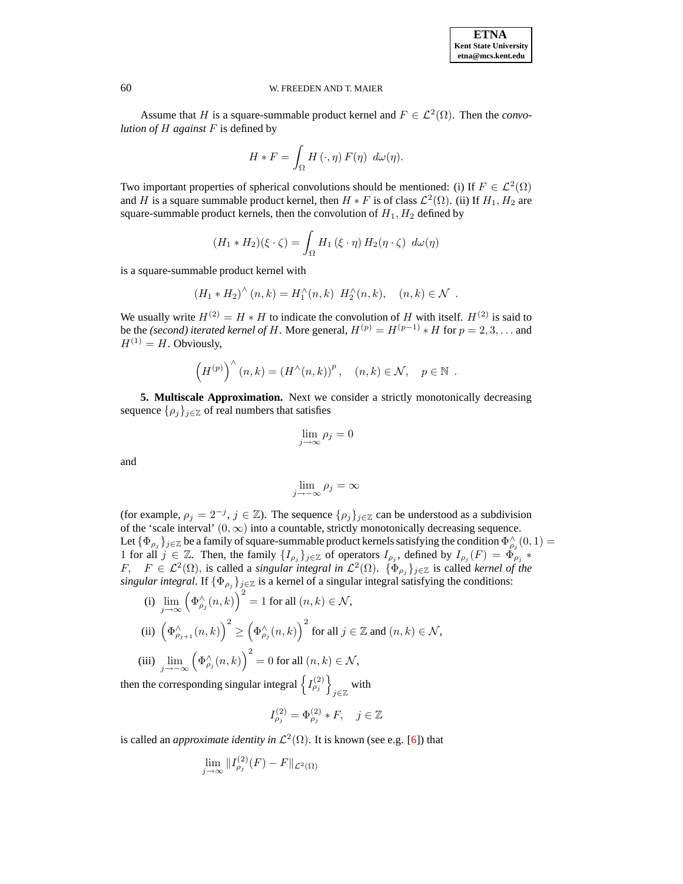Assume that *H* is a square-summable product kernel and  $F \in \mathcal{L}^2(\Omega)$ . Then the *convolution of* H *against* F is defined by

$$
H * F = \int_{\Omega} H(\cdot, \eta) F(\eta) d\omega(\eta).
$$

Two important properties of spherical convolutions should be mentioned: (i) If  $F \in \mathcal{L}^2(\Omega)$ and H is a square summable product kernel, then  $H * F$  is of class  $\mathcal{L}^2(\Omega)$ . (ii) If  $H_1, H_2$  are square-summable product kernels, then the convolution of  $H_1, H_2$  defined by

$$
(H_1 * H_2)(\xi \cdot \zeta) = \int_{\Omega} H_1(\xi \cdot \eta) H_2(\eta \cdot \zeta) d\omega(\eta)
$$

is a square-summable product kernel with

$$
(H_1 * H_2)^{\wedge} (n,k) = H_1^{\wedge} (n,k) H_2^{\wedge} (n,k), \quad (n,k) \in \mathcal{N} .
$$

We usually write  $H^{(2)} = H * H$  to indicate the convolution of H with itself.  $H^{(2)}$  is said to be the *(second) iterated kernel of H*. More general,  $H^{(p)} = H^{(p-1)} * H$  for  $p = 2, 3, ...$  and  $H^{(1)} = H$ . Obviously,

$$
\left(H^{(p)}\right)^{\wedge}(n,k)=(H^{\wedge}(n,k))^{p},\quad (n,k)\in\mathcal{N},\quad p\in\mathbb{N}.
$$

**5. Multiscale Approximation.** Next we consider a strictly monotonically decreasing sequence  $\{\rho_j\}_{j\in\mathbb{Z}}$  of real numbers that satisfies

$$
\lim_{j \to \infty} \rho_j = 0
$$

and

$$
\lim_{j \to -\infty} \rho_j = \infty
$$

(for example,  $\rho_j = 2^{-j}, j \in \mathbb{Z}$ ). The sequence  $\{\rho_j\}_{j \in \mathbb{Z}}$  can be understood as a subdivision of the 'scale interval'  $(0, \infty)$  into a countable, strictly monotonically decreasing sequence. Let  $\{\Phi_{\rho_j}\}_{j\in\mathbb{Z}}$  be a family of square-summable product kernels satisfying the condition  $\Phi_{\rho_j}^{\wedge}(0,1)$ 1 for all  $j \in \mathbb{Z}$ . Then, the family  $\{I_{\rho_j}\}_{j\in\mathbb{Z}}$  of operators  $I_{\rho_j}$ , defined by  $I_{\rho_j}(F) = \Phi_{\rho_j}^j *$  $F$ ,  $F \in \mathcal{L}^2(\Omega)$ , is called a *singular integral in*  $\mathcal{L}^2(\Omega)$ .  $\{\Phi_{\rho_j}\}_{j\in\mathbb{Z}}$  is called *kernel of the singular integral*. If  $\{\Phi_{\rho_j}\}_{j\in\mathbb{Z}}$  is a kernel of a singular integral satisfying the conditions:

(i) 
$$
\lim_{j \to \infty} (\Phi_{\rho_j}^{\wedge}(n,k))^2 = 1
$$
 for all  $(n,k) \in \mathcal{N}$ ,  
\n(ii)  $(\Phi_{\rho_{j+1}}^{\wedge}(n,k))^2 \ge (\Phi_{\rho_j}^{\wedge}(n,k))^2$  for all  $j \in \mathbb{Z}$  and  $(n,k) \in \mathcal{N}$ ,  
\n(iii)  $\lim_{j \to -\infty} (\Phi_{\rho_j}^{\wedge}(n,k))^2 = 0$  for all  $(n,k) \in \mathcal{N}$ ,

then the corresponding singular integral  $\left\{I_{\rho_j}^{(2)}\right\}$ with  $y \in \mathbb{Z}$ 

$$
I^{(2)}_{\rho_j}=\Phi^{(2)}_{\rho_j}*F,\quad j\in\mathbb{Z}
$$

is called an *approximate identity in*  $\mathcal{L}^2(\Omega)$ . It is known (see e.g. [\[6\]](#page-20-0)) that

$$
\lim_{j \to \infty} ||I_{\rho_j}^{(2)}(F) - F||_{\mathcal{L}^2(\Omega)}
$$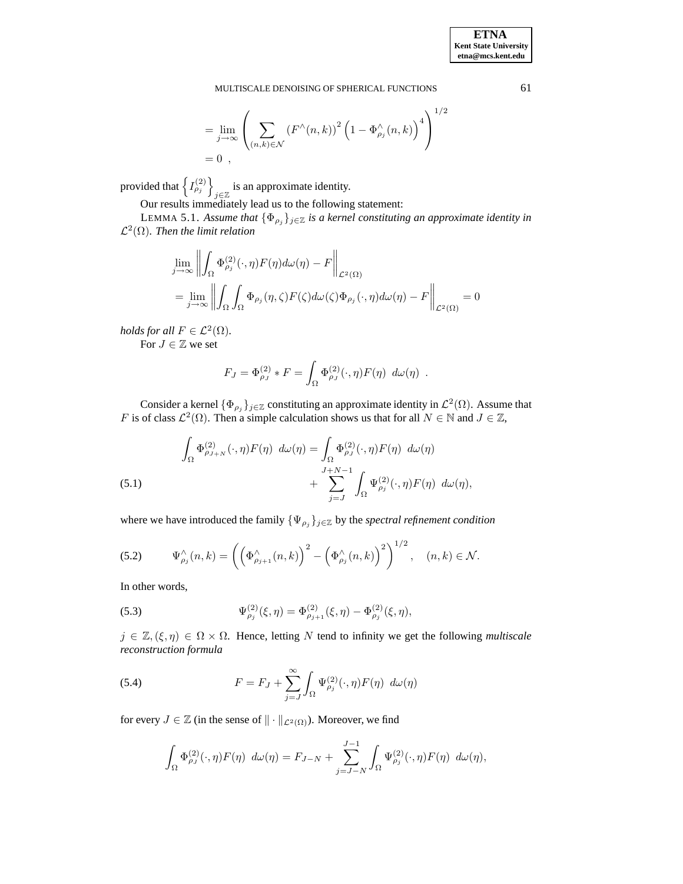$$
= \lim_{j \to \infty} \left( \sum_{(n,k)\in\mathcal{N}} \left( F^{\wedge}(n,k) \right)^2 \left( 1 - \Phi^{\wedge}_{\rho_j}(n,k) \right)^4 \right)^{1/2}
$$
  
= 0,

provided that  $\left\{I_{\rho_j}^{(2)}\right\}$ is an approximate identity.

Our results immediately lead us to the following statement:

LEMMA 5.1. Assume that  $\{\Phi_{\rho_j}\}_{j\in\mathbb{Z}}$  *is a kernel constituting an approximate identity in*  $\mathcal{L}^2(\Omega)$ . Then the limit relation

$$
\lim_{j \to \infty} \left\| \int_{\Omega} \Phi_{\rho_j}^{(2)}(\cdot, \eta) F(\eta) d\omega(\eta) - F \right\|_{\mathcal{L}^2(\Omega)}
$$
\n
$$
= \lim_{j \to \infty} \left\| \int_{\Omega} \int_{\Omega} \Phi_{\rho_j}(\eta, \zeta) F(\zeta) d\omega(\zeta) \Phi_{\rho_j}(\cdot, \eta) d\omega(\eta) - F \right\|_{\mathcal{L}^2(\Omega)} = 0
$$

*holds for all*  $F \in L^2(\Omega)$ *.* 

For  $J \in \mathbb{Z}$  we set

$$
F_J = \Phi_{\rho_J}^{(2)} * F = \int_{\Omega} \Phi_{\rho_J}^{(2)}(\cdot, \eta) F(\eta) d\omega(\eta) .
$$

Consider a kernel  $\{\Phi_{\rho_j}\}_{j\in\mathbb{Z}}$  constituting an approximate identity in  $\mathcal{L}^2(\Omega)$ . Assume that F is of class  $\mathcal{L}^2(\Omega)$ . Then a simple calculation shows us that for all  $N \in \mathbb{N}$  and  $J \in \mathbb{Z}$ ,

<span id="page-5-2"></span>(5.1) 
$$
\int_{\Omega} \Phi_{\rho_{J+N}}^{(2)}(\cdot, \eta) F(\eta) d\omega(\eta) = \int_{\Omega} \Phi_{\rho_{J}}^{(2)}(\cdot, \eta) F(\eta) d\omega(\eta) + \sum_{j=J}^{J+N-1} \int_{\Omega} \Psi_{\rho_{j}}^{(2)}(\cdot, \eta) F(\eta) d\omega(\eta),
$$

where we have introduced the family  $\{\Psi_{\rho_j}\}_{j\in\mathbb{Z}}$  by the *spectral refinement condition* 

(5.2) 
$$
\Psi_{\rho_j}^{\wedge}(n,k) = \left( \left( \Phi_{\rho_{j+1}}^{\wedge}(n,k) \right)^2 - \left( \Phi_{\rho_j}^{\wedge}(n,k) \right)^2 \right)^{1/2}, \quad (n,k) \in \mathcal{N}.
$$

<span id="page-5-1"></span>In other words,

(5.3) 
$$
\Psi_{\rho_j}^{(2)}(\xi,\eta) = \Phi_{\rho_{j+1}}^{(2)}(\xi,\eta) - \Phi_{\rho_j}^{(2)}(\xi,\eta),
$$

 $j \in \mathbb{Z}, (\xi, \eta) \in \Omega \times \Omega$ . Hence, letting N tend to infinity we get the following *multiscale reconstruction formula*

<span id="page-5-0"></span>(5.4) 
$$
F = F_J + \sum_{j=J}^{\infty} \int_{\Omega} \Psi_{\rho_j}^{(2)}(\cdot, \eta) F(\eta) d\omega(\eta)
$$

for every  $J \in \mathbb{Z}$  (in the sense of  $\|\cdot\|_{\mathcal{L}^2(\Omega)}$ ). Moreover, we find

$$
\int_{\Omega} \Phi_{\rho_J}^{(2)}(\cdot, \eta) F(\eta) \ d\omega(\eta) = F_{J-N} + \sum_{j=J-N}^{J-1} \int_{\Omega} \Psi_{\rho_j}^{(2)}(\cdot, \eta) F(\eta) \ d\omega(\eta),
$$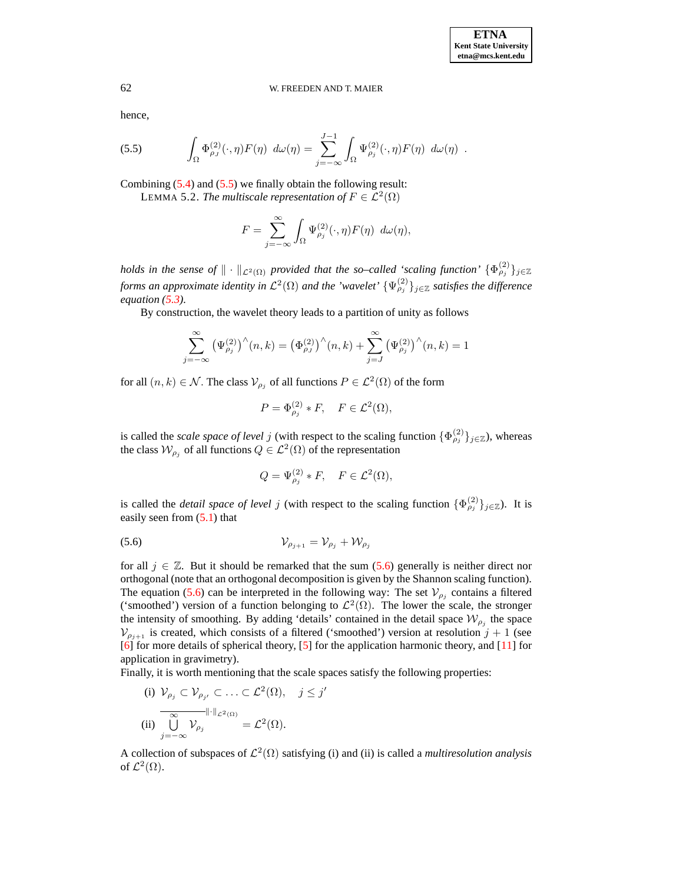hence,

<span id="page-6-0"></span>(5.5) 
$$
\int_{\Omega} \Phi_{\rho_J}^{(2)}(\cdot, \eta) F(\eta) d\omega(\eta) = \sum_{j=-\infty}^{J-1} \int_{\Omega} \Psi_{\rho_j}^{(2)}(\cdot, \eta) F(\eta) d\omega(\eta).
$$

Combining [\(5.4\)](#page-5-0) and [\(5.5\)](#page-6-0) we finally obtain the following result: LEMMA 5.2. *The multiscale representation of*  $F \in \mathcal{L}^2(\Omega)$ 

$$
F = \sum_{j=-\infty}^{\infty} \int_{\Omega} \Psi_{\rho_j}^{(2)}(\cdot, \eta) F(\eta) \ d\omega(\eta),
$$

*holds* in the sense of  $\|\cdot\|_{\mathcal{L}^2(\Omega)}$  provided that the so–called 'scaling function'  $\{\Phi_{\rho_j}^{(2)}\}_{j\in\mathbb{Z}}$ *forms an approximate identity in*  $\mathcal{L}^2(\Omega)$  *and the 'wavelet'*  $\{\Psi_{\rho_j}^{(2)}\}_{j\in\mathbb{Z}}$  *satisfies the difference equation [\(5.3\)](#page-5-1).*

By construction, the wavelet theory leads to a partition of unity as follows

$$
\sum_{k=-\infty}^{\infty} (\Psi_{\rho_j}^{(2)})^{\wedge}(n,k) = (\Phi_{\rho_J}^{(2)})^{\wedge}(n,k) + \sum_{j=J}^{\infty} (\Psi_{\rho_j}^{(2)})^{\wedge}(n,k) = 1
$$

for all  $(n, k) \in \mathcal{N}$ . The class  $\mathcal{V}_{\rho_j}$  of all functions  $P \in \mathcal{L}^2(\Omega)$  of the form

$$
P = \Phi_{\rho_j}^{(2)} * F, \quad F \in \mathcal{L}^2(\Omega),
$$

is called the *scale space of level* j (with respect to the scaling function  $\{\Phi_{\rho_j}^{(2)}\}_{j\in\mathbb{Z}}$ ), whereas the class  $\mathcal{W}_{\rho_j}$  of all functions  $Q \in \mathcal{L}^2(\Omega)$  of the representation

<span id="page-6-1"></span>
$$
Q = \Psi_{\rho_j}^{(2)} * F, \quad F \in \mathcal{L}^2(\Omega),
$$

is called the *detail space of level* j (with respect to the scaling function  $\{\Phi_{\rho_j}^{(2)}\}_{j\in\mathbb{Z}}$ ). It is easily seen from  $(5.1)$  that

$$
V_{\rho_{j+1}} = V_{\rho_j} + W_{\rho_j}
$$

 $j$ 

for all  $j \in \mathbb{Z}$ . But it should be remarked that the sum [\(5.6\)](#page-6-1) generally is neither direct nor orthogonal (note that an orthogonal decomposition is given by the Shannon scaling function). The equation [\(5.6\)](#page-6-1) can be interpreted in the following way: The set  $V_{\rho_j}$  contains a filtered ('smoothed') version of a function belonging to  $\mathcal{L}^2(\Omega)$ . The lower the scale, the stronger the intensity of smoothing. By adding 'details' contained in the detail space  $\mathcal{W}_{\rho_j}$  the space  $V_{\rho_{i+1}}$  is created, which consists of a filtered ('smoothed') version at resolution  $j + 1$  (see [\[6\]](#page-20-0) for more details of spherical theory, [\[5\]](#page-20-9) for the application harmonic theory, and [\[11\]](#page-20-10) for application in gravimetry).

Finally, it is worth mentioning that the scale spaces satisfy the following properties:

(i) 
$$
V_{\rho_j} \subset V_{\rho_{j'}} \subset \ldots \subset \mathcal{L}^2(\Omega), \quad j \leq j
$$
  
\n(ii) 
$$
\overline{\bigcup_{j=-\infty}^{\infty} V_{\rho_j}} = \mathcal{L}^2(\Omega).
$$

A collection of subspaces of  $\mathcal{L}^2(\Omega)$  satisfying (i) and (ii) is called a *multiresolution analysis* of  $\mathcal{L}^2(\Omega)$ .

 $j'$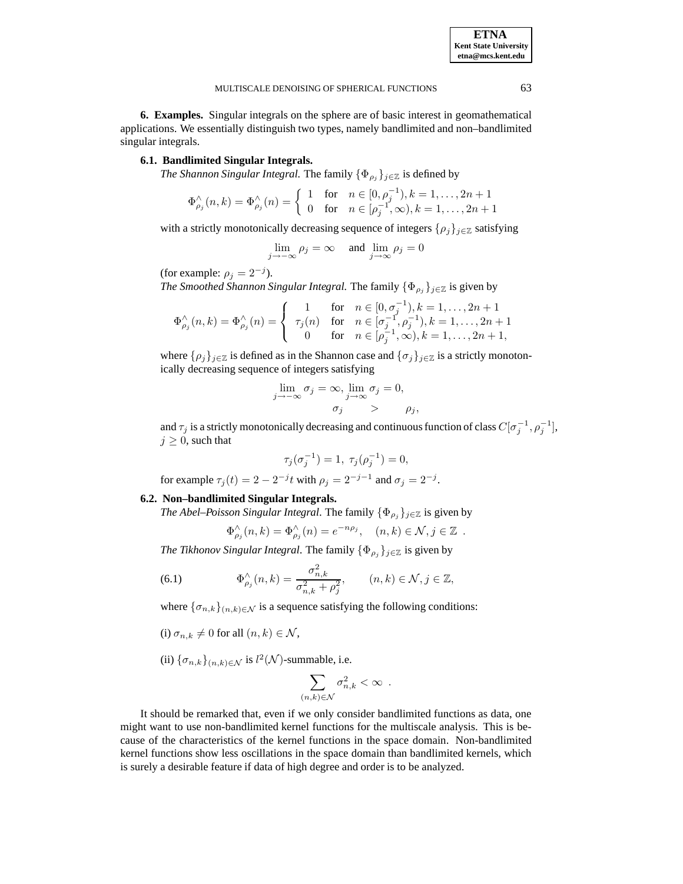<span id="page-7-1"></span>**6. Examples.** Singular integrals on the sphere are of basic interest in geomathematical applications. We essentially distinguish two types, namely bandlimited and non–bandlimited singular integrals.

# **6.1. Bandlimited Singular Integrals.**

*The Shannon Singular Integral.* The family  $\{\Phi_{\rho_i}\}_{i\in\mathbb{Z}}$  is defined by

$$
\Phi_{\rho_j}^{\wedge}(n,k) = \Phi_{\rho_j}^{\wedge}(n) = \begin{cases} 1 & \text{for } n \in [0, \rho_j^{-1}), k = 1, \dots, 2n + 1 \\ 0 & \text{for } n \in [\rho_j^{-1}, \infty), k = 1, \dots, 2n + 1 \end{cases}
$$

with a strictly monotonically decreasing sequence of integers  $\{\rho_i\}_{i\in\mathbb{Z}}$  satisfying

$$
\lim_{j \to -\infty} \rho_j = \infty \quad \text{ and } \lim_{j \to \infty} \rho_j = 0
$$

(for example:  $\rho_j = 2^{-j}$ ).

*The Smoothed Shannon Singular Integral.* The family  $\{\Phi_{\rho_j}\}_{j\in\mathbb{Z}}$  is given by

$$
\Phi_{\rho_j}^{\wedge}(n,k) = \Phi_{\rho_j}^{\wedge}(n) = \begin{cases} 1 & \text{for} \quad n \in [0, \sigma_j^{-1}), k = 1, \dots, 2n+1 \\ \tau_j(n) & \text{for} \quad n \in [\sigma_j^{-1}, \rho_j^{-1}), k = 1, \dots, 2n+1 \\ 0 & \text{for} \quad n \in [\rho_j^{-1}, \infty), k = 1, \dots, 2n+1, \end{cases}
$$

where  $\{\rho_j\}_{j\in\mathbb{Z}}$  is defined as in the Shannon case and  $\{\sigma_j\}_{j\in\mathbb{Z}}$  is a strictly monotonically decreasing sequence of integers satisfying

$$
\lim_{j \to -\infty} \sigma_j = \infty, \lim_{j \to \infty} \sigma_j = 0,
$$
  

$$
\sigma_j > \rho_j,
$$

and  $\tau_j$  is a strictly monotonically decreasing and continuous function of class  $C[\sigma_j^{-1},\rho_j^{-1}],$  $j \geq 0$ , such that

$$
\tau_j(\sigma_j^{-1}) = 1, \ \tau_j(\rho_j^{-1}) = 0,
$$

for example  $\tau_j(t) = 2 - 2^{-j}t$  with  $\rho_j = 2^{-j-1}$  and  $\sigma_j = 2^{-j}$ .

## **6.2. Non–bandlimited Singular Integrals.**

*The Abel–Poisson Singular Integral.* The family  $\{\Phi_{\rho_i}\}_{j\in\mathbb{Z}}$  is given by

$$
\Phi_{\rho_j}^{\wedge}(n,k) = \Phi_{\rho_j}^{\wedge}(n) = e^{-n\rho_j}, \quad (n,k) \in \mathcal{N}, j \in \mathbb{Z}.
$$

*The Tikhonov Singular Integral.* The family  $\{\Phi_{\rho_j}\}_{j\in\mathbb{Z}}$  is given by

<span id="page-7-0"></span>(6.1) 
$$
\Phi_{\rho_j}^{\wedge}(n,k) = \frac{\sigma_{n,k}^2}{\sigma_{n,k}^2 + \rho_j^2}, \qquad (n,k) \in \mathcal{N}, j \in \mathbb{Z},
$$

where  $\{\sigma_{n,k}\}_{(n,k)\in\mathcal{N}}$  is a sequence satisfying the following conditions:

- (i)  $\sigma_{n,k} \neq 0$  for all  $(n, k) \in \mathcal{N}$ ,
- (ii)  $\{\sigma_{n,k}\}_{(n,k)\in\mathcal{N}}$  is  $l^2(\mathcal{N})$ -summable, i.e.

$$
\sum_{(n,k)\in\mathcal{N}}\sigma_{n,k}^2<\infty\enspace.
$$

It should be remarked that, even if we only consider bandlimited functions as data, one might want to use non-bandlimited kernel functions for the multiscale analysis. This is because of the characteristics of the kernel functions in the space domain. Non-bandlimited kernel functions show less oscillations in the space domain than bandlimited kernels, which is surely a desirable feature if data of high degree and order is to be analyzed.

**ETNA Kent State University etna@mcs.kent.edu**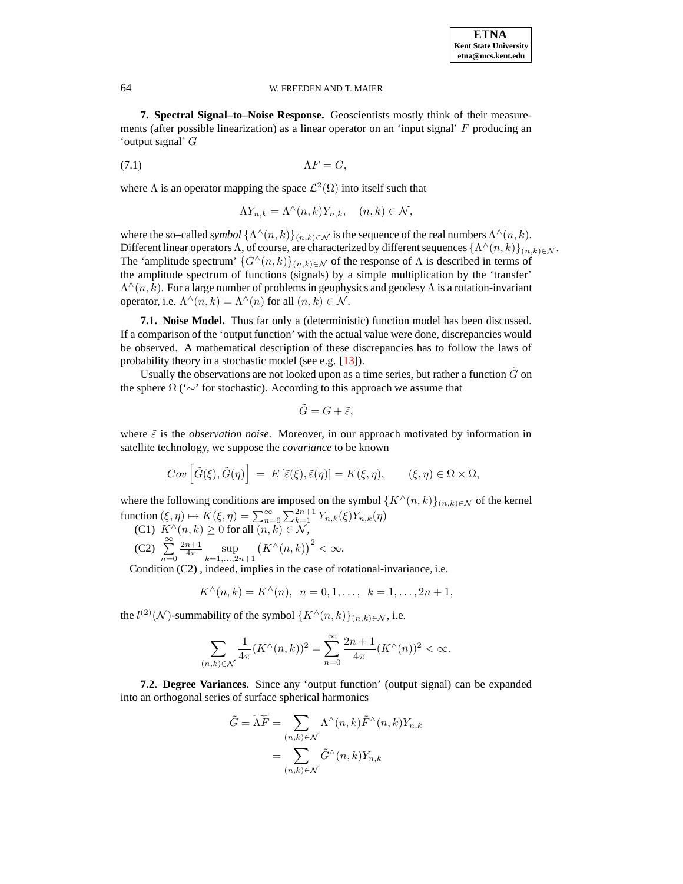#### **ETNA Kent State University etna@mcs.kent.edu**

## 64 W. FREEDEN AND T. MAIER

**7. Spectral Signal–to–Noise Response.** Geoscientists mostly think of their measurements (after possible linearization) as a linear operator on an 'input signal' F producing an 'output signal' G

(7.1)  $\Lambda F = G$ ,

where  $\Lambda$  is an operator mapping the space  $\mathcal{L}^2(\Omega)$  into itself such that

$$
\Lambda Y_{n,k} = \Lambda^{\wedge}(n,k)Y_{n,k}, \quad (n,k) \in \mathcal{N},
$$

where the so–called *symbol*  $\{\Lambda^\wedge(n,k)\}_{(n,k)\in\mathcal{N}}$  is the sequence of the real numbers  $\Lambda^\wedge(n,k)$ . Different linear operators  $\Lambda$ , of course, are characterized by different sequences  $\{\Lambda^\wedge(n,k)\}_{(n,k)\in\mathcal{N}}$ . The 'amplitude spectrum'  $\{G^{\wedge}(n,k)\}_{(n,k)\in\mathcal{N}}$  of the response of  $\Lambda$  is described in terms of the amplitude spectrum of functions (signals) by a simple multiplication by the 'transfer'  $\Lambda^{\wedge}(n,k)$ . For a large number of problems in geophysics and geodesy  $\Lambda$  is a rotation-invariant operator, i.e.  $\Lambda^{\wedge}(n,k) = \Lambda^{\wedge}(n)$  for all  $(n,k) \in \mathcal{N}$ .

<span id="page-8-0"></span>**7.1. Noise Model.** Thus far only a (deterministic) function model has been discussed. If a comparison of the 'output function' with the actual value were done, discrepancies would be observed. A mathematical description of these discrepancies has to follow the laws of probability theory in a stochastic model (see e.g. [\[13\]](#page-20-2)).

Usually the observations are not looked upon as a time series, but rather a function  $\tilde{G}$  on the sphere  $\Omega$  (' $\sim$ ' for stochastic). According to this approach we assume that

$$
\tilde{G}=G+\tilde{\varepsilon},
$$

where  $\tilde{\varepsilon}$  is the *observation noise*. Moreover, in our approach motivated by information in satellite technology, we suppose the *covariance* to be known

$$
Cov\left[\tilde{G}(\xi), \tilde{G}(\eta)\right] = E\left[\tilde{\varepsilon}(\xi), \tilde{\varepsilon}(\eta)\right] = K(\xi, \eta), \qquad (\xi, \eta) \in \Omega \times \Omega,
$$

where the following conditions are imposed on the symbol  $\{K^{\wedge}(n,k)\}_{(n,k)\in\mathcal{N}}$  of the kernel function  $(\xi, \eta) \mapsto K(\xi, \eta) = \sum_{n=0}^{\infty} \sum_{k=1}^{2n+1} Y_{n,k}(\xi)Y_{n,k}(\eta)$ 

(C1)  $K^{\wedge}(n,k) \ge 0$  for all  $(n,k) \in \mathcal{N}$ ,  $(C2) \sum_{n=1}^{\infty}$  $n=0$  $\frac{2n+1}{4\pi}$  sup<br> $_{k=1,...,2n+1}$  $(K^{\wedge}(n,k))^{2} < \infty.$ 

Condition (C2) , indeed, implies in the case of rotational-invariance, i.e.

$$
K^{\wedge}(n,k) = K^{\wedge}(n), \ \ n = 0, 1, \dots, \ k = 1, \dots, 2n + 1,
$$

the  $l^{(2)}(\mathcal{N})$ -summability of the symbol  $\{K^{\wedge}(n,k)\}_{(n,k)\in\mathcal{N}}$ , i.e.

$$
\sum_{(n,k)\in\mathcal{N}} \frac{1}{4\pi} (K^{\wedge}(n,k))^2 = \sum_{n=0}^{\infty} \frac{2n+1}{4\pi} (K^{\wedge}(n))^2 < \infty.
$$

**7.2. Degree Variances.** Since any 'output function' (output signal) can be expanded into an orthogonal series of surface spherical harmonics

$$
\tilde{G} = \widetilde{\Lambda F} = \sum_{(n,k)\in\mathcal{N}} \Lambda^{\wedge}(n,k) \tilde{F}^{\wedge}(n,k) Y_{n,k}
$$

$$
= \sum_{(n,k)\in\mathcal{N}} \tilde{G}^{\wedge}(n,k) Y_{n,k}
$$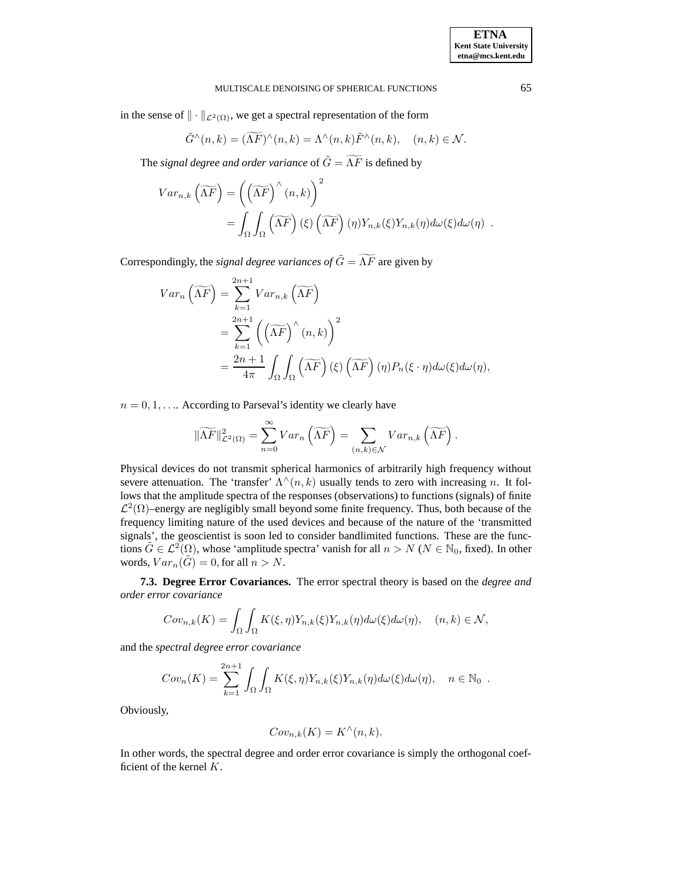in the sense of  $\|\cdot\|_{\mathcal{L}^2(\Omega)}$ , we get a spectral representation of the form

$$
\tilde{G}^{\wedge}(n,k) = (\widetilde{\Lambda F})^{\wedge}(n,k) = \Lambda^{\wedge}(n,k)\tilde{F}^{\wedge}(n,k), \quad (n,k) \in \mathcal{N}.
$$

The *signal degree and order variance* of  $\tilde{G} = \widetilde{\Lambda F}$  is defined by

$$
Var_{n,k}(\widetilde{\Lambda F}) = ((\widetilde{\Lambda F})^{\wedge}(n,k))^{2}
$$
  
= 
$$
\int_{\Omega} \int_{\Omega} (\widetilde{\Lambda F}) (\xi) (\widetilde{\Lambda F}) (\eta) Y_{n,k}(\xi) Y_{n,k}(\eta) d\omega(\xi) d\omega(\eta).
$$

Correspondingly, the *signal degree variances of*  $\tilde{G} = \widetilde{\Lambda F}$  are given by

$$
Var_n\left(\widetilde{\Lambda F}\right) = \sum_{k=1}^{2n+1} Var_{n,k}\left(\widetilde{\Lambda F}\right)
$$
  
= 
$$
\sum_{k=1}^{2n+1} \left(\left(\widetilde{\Lambda F}\right)^{\wedge}(n,k)\right)^2
$$
  
= 
$$
\frac{2n+1}{4\pi} \int_{\Omega} \int_{\Omega} \left(\widetilde{\Lambda F}\right) (\xi) \left(\widetilde{\Lambda F}\right) (\eta) P_n(\xi \cdot \eta) d\omega(\xi) d\omega(\eta),
$$

 $n = 0, 1, \ldots$  According to Parseval's identity we clearly have

$$
\|\widetilde{\Lambda F}\|_{\mathcal{L}^2(\Omega)}^2 = \sum_{n=0}^{\infty} Var_n \left(\widetilde{\Lambda F}\right) = \sum_{(n,k)\in\mathcal{N}} Var_{n,k} \left(\widetilde{\Lambda F}\right).
$$

Physical devices do not transmit spherical harmonics of arbitrarily high frequency without severe attenuation. The 'transfer'  $\Lambda^{\wedge}(n,k)$  usually tends to zero with increasing n. It follows that the amplitude spectra of the responses (observations) to functions (signals) of finite  $\mathcal{L}^2(\Omega)$ –energy are negligibly small beyond some finite frequency. Thus, both because of the frequency limiting nature of the used devices and because of the nature of the 'transmitted signals', the geoscientist is soon led to consider bandlimited functions. These are the functions  $\tilde{G} \in \mathcal{L}^2(\Omega)$ , whose 'amplitude spectra' vanish for all  $n > N$  ( $N \in \mathbb{N}_0$ , fixed). In other words,  $Var_n(\hat{G}) = 0$ , for all  $n > N$ .

**7.3. Degree Error Covariances.** The error spectral theory is based on the *degree and order error covariance*

$$
Cov_{n,k}(K) = \int_{\Omega} \int_{\Omega} K(\xi, \eta) Y_{n,k}(\xi) Y_{n,k}(\eta) d\omega(\xi) d\omega(\eta), \quad (n, k) \in \mathcal{N},
$$

and the *spectral degree error covariance*

$$
Cov_n(K) = \sum_{k=1}^{2n+1} \int_{\Omega} \int_{\Omega} K(\xi, \eta) Y_{n,k}(\xi) Y_{n,k}(\eta) d\omega(\xi) d\omega(\eta), \quad n \in \mathbb{N}_0.
$$

Obviously,

$$
Cov_{n,k}(K) = K^{\wedge}(n,k).
$$

In other words, the spectral degree and order error covariance is simply the orthogonal coefficient of the kernel K.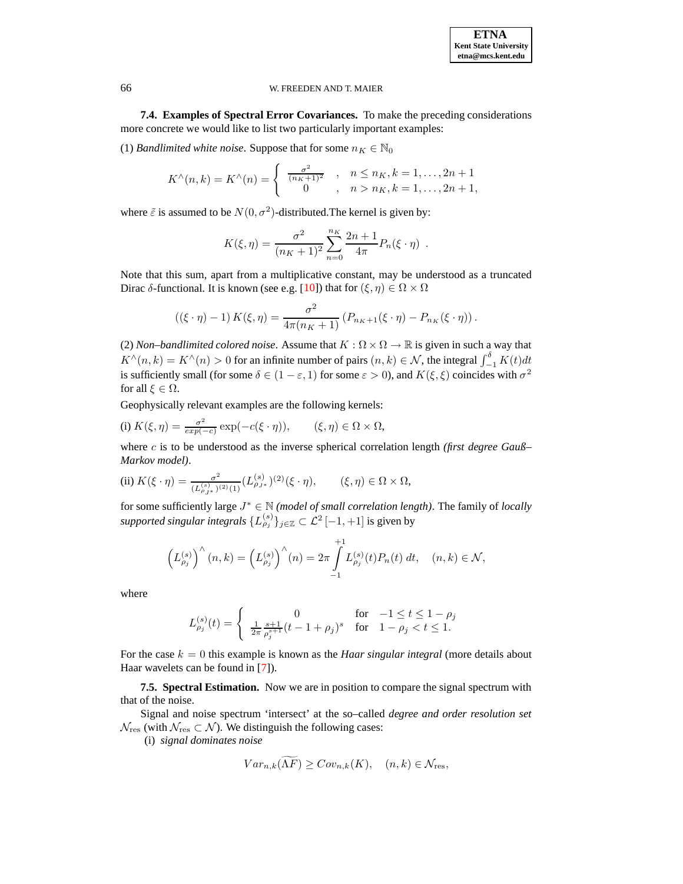<span id="page-10-0"></span>**7.4. Examples of Spectral Error Covariances.** To make the preceding considerations more concrete we would like to list two particularly important examples:

(1) *Bandlimited white noise*. Suppose that for some  $n_K \in \mathbb{N}_0$ 

$$
K^{\wedge}(n,k) = K^{\wedge}(n) = \begin{cases} \frac{\sigma^2}{(n_K+1)^2} & , n \leq n_K, k = 1, \dots, 2n+1 \\ 0 & , n > n_K, k = 1, \dots, 2n+1, \end{cases}
$$

where  $\tilde{\varepsilon}$  is assumed to be  $N(0, \sigma^2)$ -distributed. The kernel is given by:

$$
K(\xi, \eta) = \frac{\sigma^2}{(n_K + 1)^2} \sum_{n=0}^{n_K} \frac{2n+1}{4\pi} P_n(\xi \cdot \eta) .
$$

Note that this sum, apart from a multiplicative constant, may be understood as a truncated Dirac δ-functional. It is known (see e.g. [\[10\]](#page-20-11)) that for  $(\xi, \eta) \in \Omega \times \Omega$ 

$$
\left((\xi \cdot \eta) - 1\right) K(\xi, \eta) = \frac{\sigma^2}{4\pi (n_K + 1)} \left(P_{n_K + 1}(\xi \cdot \eta) - P_{n_K}(\xi \cdot \eta)\right).
$$

(2) *Non–bandlimited colored noise*. Assume that  $K : \Omega \times \Omega \to \mathbb{R}$  is given in such a way that  $K^{\wedge}(n, k) = K^{\wedge}(n) > 0$  for an infinite number of pairs  $(n, k) \in \mathcal{N}$ , the integral  $\int_{-1}^{\delta} K(t) dt$ is sufficiently small (for some  $\delta \in (1 - \varepsilon, 1)$  for some  $\varepsilon > 0$ ), and  $K(\xi, \xi)$  coincides with  $\sigma^2$ for all  $\xi \in \Omega$ .

Geophysically relevant examples are the following kernels:

(i) 
$$
K(\xi, \eta) = \frac{\sigma^2}{\exp(-c)} \exp(-c(\xi \cdot \eta)), \qquad (\xi, \eta) \in \Omega \times \Omega,
$$

where c is to be understood as the inverse spherical correlation length *(first degree Gauß– Markov model)*.

(ii) 
$$
K(\xi \cdot \eta) = \frac{\sigma^2}{(L_{\rho_{J^*}}^{(s)})^{(2)}(1)} (L_{\rho_{J^*}}^{(s)})^{(2)}(\xi \cdot \eta), \qquad (\xi, \eta) \in \Omega \times \Omega,
$$

for some sufficiently large  $J^* \in \mathbb{N}$  *(model of small correlation length)*. The family of *locally supported singular integrals*  $\{L_{\rho_j}^{(s)}\}_{j\in\mathbb{Z}}\subset \mathcal{L}^2\left[-1,+1\right]$  is given by

$$
\left(L_{\rho_j}^{(s)}\right)^{\wedge}(n,k) = \left(L_{\rho_j}^{(s)}\right)^{\wedge}(n) = 2\pi \int_{-1}^{+1} L_{\rho_j}^{(s)}(t) P_n(t) \, dt, \quad (n,k) \in \mathcal{N},
$$

where

$$
L_{\rho_j}^{(s)}(t) = \left\{ \begin{array}{ll} 0 & \text{for} \quad -1 \leq t \leq 1-\rho_j \\ \frac{1}{2\pi} \frac{s+1}{\rho_j^{s+1}}(t-1+\rho_j)^s & \text{for} \quad 1-\rho_j < t \leq 1. \end{array} \right.
$$

For the case  $k = 0$  this example is known as the *Haar singular integral* (more details about Haar wavelets can be found in [\[7\]](#page-20-12)).

**7.5. Spectral Estimation.** Now we are in position to compare the signal spectrum with that of the noise.

Signal and noise spectrum 'intersect' at the so–called *degree and order resolution set*  $\mathcal{N}_{\text{res}}$  (with  $\mathcal{N}_{\text{res}}\subset \mathcal{N}$ ). We distinguish the following cases:

(i) *signal dominates noise*

$$
Var_{n,k}(\Lambda \overline{F}) \ge Cov_{n,k}(K), \quad (n,k) \in \mathcal{N}_{\text{res}},
$$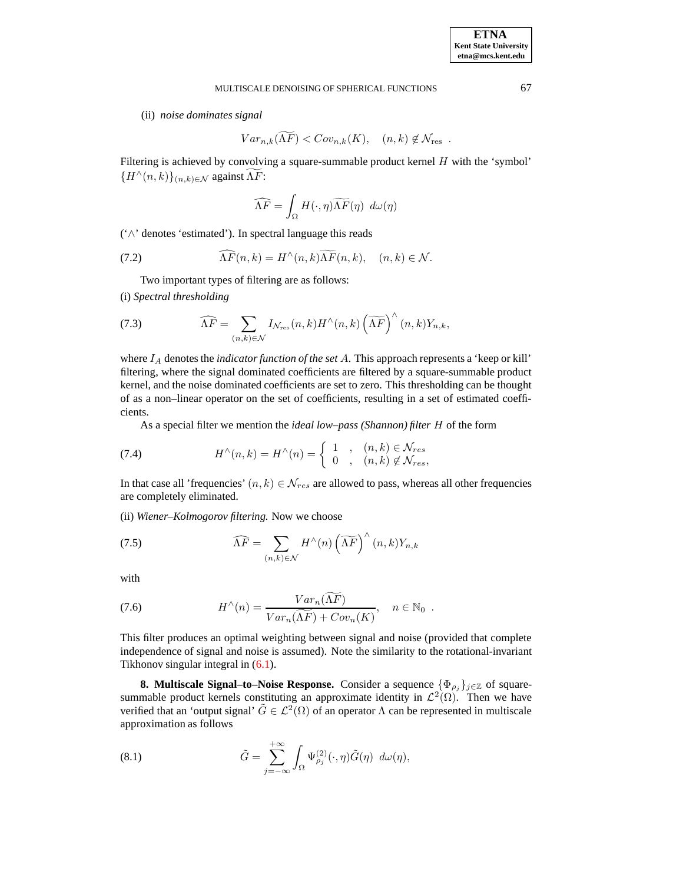(ii) *noise dominates signal*

$$
Var_{n,k}(\widetilde{\Lambda F}) < Cov_{n,k}(K), \quad (n,k) \notin \mathcal{N}_{\text{res}}.
$$

Filtering is achieved by convolving a square-summable product kernel  $H$  with the 'symbol'  ${H^{\wedge}(n,k)}_{(n,k)\in\mathcal{N}}$  against  $\Lambda F$ :

$$
\widehat{\Lambda F}=\int_{\Omega}H(\cdot,\eta)\widetilde{\Lambda F}(\eta)\ d\omega(\eta)
$$

('∧' denotes 'estimated'). In spectral language this reads

(7.2) 
$$
\widehat{\Lambda F}(n,k) = H^{\wedge}(n,k)\widehat{\Lambda F}(n,k), \quad (n,k) \in \mathcal{N}.
$$

Two important types of filtering are as follows:

(i) *Spectral thresholding*

(7.3) 
$$
\widehat{\Lambda F} = \sum_{(n,k)\in\mathcal{N}} I_{\mathcal{N}_{\text{res}}}(n,k) H^{\wedge}(n,k) \left(\widetilde{\Lambda F}\right)^{\wedge}(n,k) Y_{n,k},
$$

where I<sup>A</sup> denotes the *indicator function of the set* A. This approach represents a 'keep or kill' filtering, where the signal dominated coefficients are filtered by a square-summable product kernel, and the noise dominated coefficients are set to zero. This thresholding can be thought of as a non–linear operator on the set of coefficients, resulting in a set of estimated coefficients.

As a special filter we mention the *ideal low–pass (Shannon) filter* H of the form

(7.4) 
$$
H^{\wedge}(n,k) = H^{\wedge}(n) = \begin{cases} 1, & (n,k) \in \mathcal{N}_{res} \\ 0, & (n,k) \notin \mathcal{N}_{res}, \end{cases}
$$

In that case all 'frequencies'  $(n, k) \in \mathcal{N}_{res}$  are allowed to pass, whereas all other frequencies are completely eliminated.

(ii) *Wiener–Kolmogorov filtering.* Now we choose

(7.5) 
$$
\widehat{\Lambda F} = \sum_{(n,k)\in\mathcal{N}} H^{\wedge}(n) \left(\widetilde{\Lambda F}\right)^{\wedge}(n,k) Y_{n,k}
$$

with

(7.6) 
$$
H^{\wedge}(n) = \frac{Var_n(\widetilde{\Lambda F})}{Var_n(\widetilde{\Lambda F}) + Cov_n(K)}, \quad n \in \mathbb{N}_0.
$$

This filter produces an optimal weighting between signal and noise (provided that complete independence of signal and noise is assumed). Note the similarity to the rotational-invariant Tikhonov singular integral in [\(6.1\)](#page-7-0).

**8. Multiscale Signal–to–Noise Response.** Consider a sequence  $\{\Phi_{\rho_i}\}_{j\in\mathbb{Z}}$  of squaresummable product kernels constituting an approximate identity in  $\mathcal{L}^2(\Omega)$ . Then we have verified that an 'output signal'  $\tilde{G} \in \mathcal{L}^2(\Omega)$  of an operator  $\Lambda$  can be represented in multiscale approximation as follows

<span id="page-11-0"></span>(8.1) 
$$
\tilde{G} = \sum_{j=-\infty}^{+\infty} \int_{\Omega} \Psi_{\rho_j}^{(2)}(\cdot, \eta) \tilde{G}(\eta) d\omega(\eta),
$$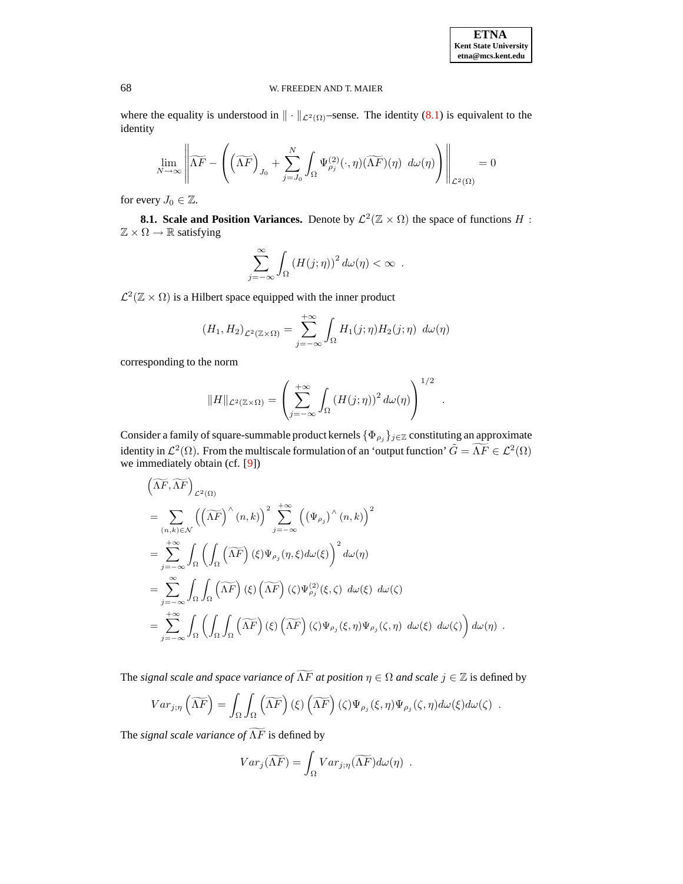.

## 68 W. FREEDEN AND T. MAIER

where the equality is understood in  $\|\cdot\|_{\mathcal{L}^2(\Omega)}$ –sense. The identity [\(8.1\)](#page-11-0) is equivalent to the identity

$$
\lim_{N \to \infty} \left\| \widetilde{\Lambda F} - \left( \left( \widetilde{\Lambda F} \right)_{J_0} + \sum_{j=J_0}^N \int_{\Omega} \Psi_{\rho_j}^{(2)}(\cdot, \eta) (\widetilde{\Lambda F})(\eta) \ d\omega(\eta) \right) \right\|_{\mathcal{L}^2(\Omega)} = 0
$$

for every  $J_0 \in \mathbb{Z}$ .

**8.1.** Scale and Position Variances. Denote by  $\mathcal{L}^2(\mathbb{Z} \times \Omega)$  the space of functions H :  $\mathbb{Z} \times \Omega \rightarrow \mathbb{R}$  satisfying

$$
\sum_{j=-\infty}^{\infty} \int_{\Omega} \left( H(j;\eta) \right)^2 d\omega(\eta) < \infty .
$$

 $\mathcal{L}^2(\mathbb{Z} \times \Omega)$  is a Hilbert space equipped with the inner product

$$
(H_1, H_2)_{\mathcal{L}^2(\mathbb{Z}\times\Omega)} = \sum_{j=-\infty}^{+\infty} \int_{\Omega} H_1(j;\eta) H_2(j;\eta) \ d\omega(\eta)
$$

corresponding to the norm

$$
||H||_{\mathcal{L}^2(\mathbb{Z}\times\Omega)} = \left(\sum_{j=-\infty}^{+\infty} \int_{\Omega} \left(H(j;\eta)\right)^2 d\omega(\eta)\right)^{1/2}
$$

Consider a family of square-summable product kernels  ${\lbrace \Phi_{\rho_j} \rbrace_{j \in \mathbb{Z}}}$  constituting an approximate identity in  $\mathcal{L}^2(\Omega)$ . From the multiscale formulation of an 'output function'  $\tilde{G} = \widetilde{\Lambda F} \in \mathcal{L}^2(\Omega)$ we immediately obtain (cf. [\[9\]](#page-20-3))

$$
\begin{split}\n&\left(\widetilde{\Lambda F}, \widetilde{\Lambda F}\right)_{\mathcal{L}^2(\Omega)} \\
&= \sum_{(n,k)\in\mathcal{N}} \left(\left(\widetilde{\Lambda F}\right)^{\wedge}(n,k)\right)^2 \sum_{j=-\infty}^{+\infty} \left(\left(\Psi_{\rho_j}\right)^{\wedge}(n,k)\right)^2 \\
&= \sum_{j=-\infty}^{+\infty} \int_{\Omega} \left(\int_{\Omega} \left(\widetilde{\Lambda F}\right)(\xi) \Psi_{\rho_j}(\eta,\xi) d\omega(\xi)\right)^2 d\omega(\eta) \\
&= \sum_{j=-\infty}^{\infty} \int_{\Omega} \int_{\Omega} \left(\widetilde{\Lambda F}\right)(\xi) \left(\widetilde{\Lambda F}\right)(\zeta) \Psi_{\rho_j}^{(2)}(\xi,\zeta) d\omega(\xi) d\omega(\zeta) \\
&= \sum_{j=-\infty}^{+\infty} \int_{\Omega} \left(\int_{\Omega} \int_{\Omega} \left(\widetilde{\Lambda F}\right)(\xi) \left(\widetilde{\Lambda F}\right)(\zeta) \Psi_{\rho_j}(\xi,\eta) \Psi_{\rho_j}(\zeta,\eta) d\omega(\xi) d\omega(\zeta)\right) d\omega(\eta).\n\end{split}
$$

The *signal scale and space variance of*  $\widetilde{\Lambda F}$  *at position*  $\eta \in \Omega$  *and scale*  $j \in \mathbb{Z}$  is defined by

$$
Var_{j,\eta}(\widetilde{\Lambda F}) = \int_{\Omega} \int_{\Omega} (\widetilde{\Lambda F})(\xi) (\widetilde{\Lambda F})(\zeta) \Psi_{\rho_j}(\xi, \eta) \Psi_{\rho_j}(\zeta, \eta) d\omega(\xi) d\omega(\zeta) .
$$

The *signal scale variance* of  $\widetilde{\Lambda F}$  is defined by

$$
Var_j(\widetilde{\Lambda F}) = \int_{\Omega} Var_{j;\eta}(\widetilde{\Lambda F}) d\omega(\eta) .
$$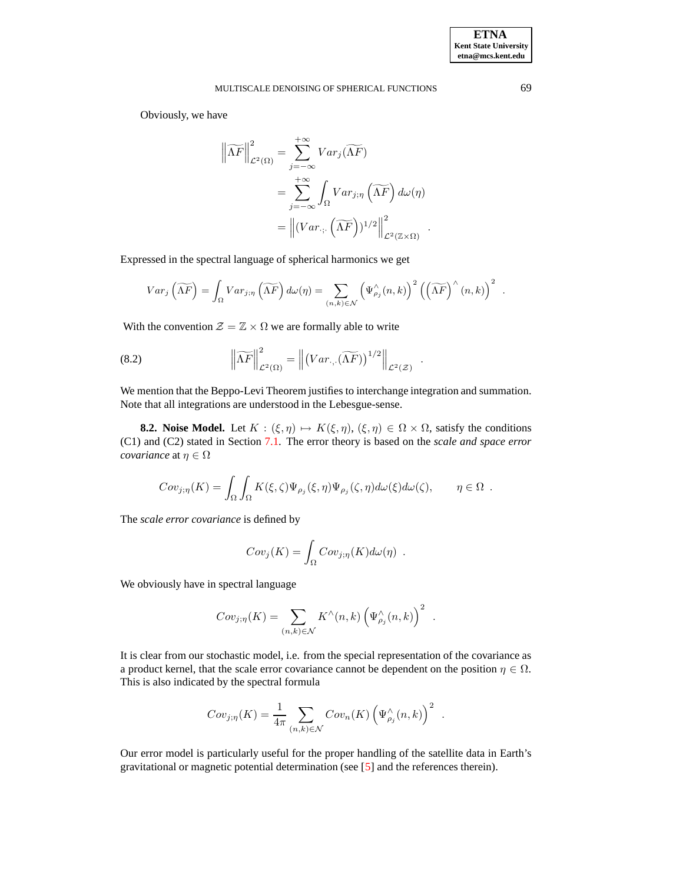Obviously, we have

$$
\left\| \widetilde{\Lambda F} \right\|_{\mathcal{L}^2(\Omega)}^2 = \sum_{j=-\infty}^{+\infty} Var_j(\widetilde{\Lambda F})
$$
  
= 
$$
\sum_{j=-\infty}^{+\infty} \int_{\Omega} Var_{j,\eta}(\widetilde{\Lambda F}) d\omega(\eta)
$$
  
= 
$$
\left\| (Var_{\cdot;\cdot}(\widetilde{\Lambda F}))^{1/2} \right\|_{\mathcal{L}^2(\mathbb{Z} \times \Omega)}^2.
$$

Expressed in the spectral language of spherical harmonics we get

$$
Var_j\left(\widetilde{\Lambda F}\right) = \int_{\Omega} Var_{j;\eta}\left(\widetilde{\Lambda F}\right) d\omega(\eta) = \sum_{(n,k)\in\mathcal{N}} \left(\Psi_{\rho_j}^{\wedge}(n,k)\right)^2 \left(\left(\widetilde{\Lambda F}\right)^{\wedge}(n,k)\right)^2.
$$

With the convention  $\mathcal{Z} = \mathbb{Z} \times \Omega$  we are formally able to write

(8.2) 
$$
\left\|\widetilde{\Lambda F}\right\|_{\mathcal{L}^2(\Omega)}^2 = \left\|\left(Var_{\cdot,\cdot}(\widetilde{\Lambda F})\right)^{1/2}\right\|_{\mathcal{L}^2(\mathcal{Z})}.
$$

We mention that the Beppo-Levi Theorem justifies to interchange integration and summation. Note that all integrations are understood in the Lebesgue-sense.

**8.2. Noise Model.** Let  $K : (\xi, \eta) \mapsto K(\xi, \eta)$ ,  $(\xi, \eta) \in \Omega \times \Omega$ , satisfy the conditions (C1) and (C2) stated in Section [7.1.](#page-8-0) The error theory is based on the *scale and space error covariance* at  $\eta \in \Omega$ 

$$
Cov_{j,\eta}(K) = \int_{\Omega} \int_{\Omega} K(\xi,\zeta) \Psi_{\rho_j}(\xi,\eta) \Psi_{\rho_j}(\zeta,\eta) d\omega(\xi) d\omega(\zeta), \qquad \eta \in \Omega.
$$

The *scale error covariance* is defined by

$$
Cov_j(K) = \int_{\Omega} Cov_{j,\eta}(K) d\omega(\eta) .
$$

We obviously have in spectral language

$$
Cov_{j;\eta}(K) = \sum_{(n,k)\in\mathcal{N}} K^{\wedge}(n,k) \left(\Psi^{\wedge}_{\rho_j}(n,k)\right)^2.
$$

It is clear from our stochastic model, i.e. from the special representation of the covariance as a product kernel, that the scale error covariance cannot be dependent on the position  $\eta \in \Omega$ . This is also indicated by the spectral formula

$$
Cov_{j;\eta}(K) = \frac{1}{4\pi} \sum_{(n,k)\in\mathcal{N}} Cov_n(K) \left(\Psi_{\rho_j}^{\wedge}(n,k)\right)^2.
$$

Our error model is particularly useful for the proper handling of the satellite data in Earth's gravitational or magnetic potential determination (see [\[5\]](#page-20-9) and the references therein).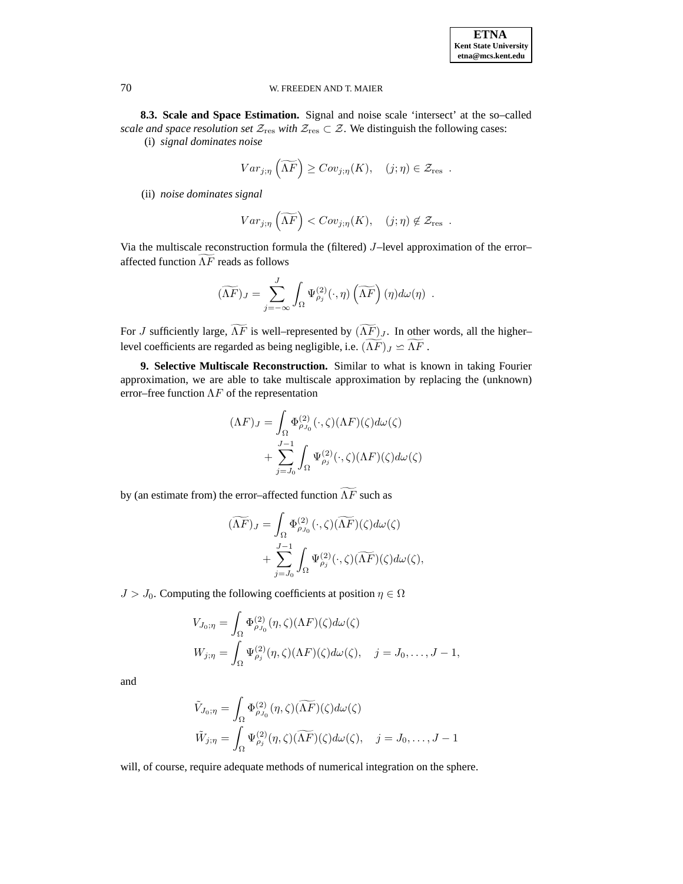<span id="page-14-0"></span>**8.3. Scale and Space Estimation.** Signal and noise scale 'intersect' at the so–called *scale and space resolution set*  $\mathcal{Z}_{res}$  *with*  $\mathcal{Z}_{res} \subset \mathcal{Z}$ . We distinguish the following cases: (i) *signal dominates noise*

$$
Var_{j;\eta}\left(\widetilde{\Lambda F}\right) \ge Cov_{j;\eta}(K), \quad (j;\eta) \in \mathcal{Z}_{\text{res}}.
$$

(ii) *noise dominates signal*

$$
Var_{j,\eta}\left(\widetilde{\Lambda F}\right) < Cov_{j,\eta}(K), \quad (j;\eta) \notin \mathcal{Z}_{\text{res}}.
$$

Via the multiscale reconstruction formula the (filtered) J–level approximation of the error– affected function  $\widetilde{\Lambda F}$  reads as follows

$$
(\widetilde{\Lambda F})_J = \sum_{j=-\infty}^J \int_{\Omega} \Psi_{\rho_j}^{(2)}(\cdot, \eta) \left( \widetilde{\Lambda F} \right) (\eta) d\omega(\eta) .
$$

For J sufficiently large,  $\widetilde{\Lambda F}$  is well–represented by  $(\widetilde{\Lambda F})_J$ . In other words, all the higher– level coefficients are regarded as being negligible, i.e.  $(\Lambda F)_J \simeq \Lambda F$ .

**9. Selective Multiscale Reconstruction.** Similar to what is known in taking Fourier approximation, we are able to take multiscale approximation by replacing the (unknown) error–free function  $\Lambda F$  of the representation

$$
(\Lambda F)J = \int_{\Omega} \Phi_{\rho_{J_0}}^{(2)}(\cdot,\zeta)(\Lambda F)(\zeta)d\omega(\zeta)
$$

$$
+ \sum_{j=J_0}^{J-1} \int_{\Omega} \Psi_{\rho_j}^{(2)}(\cdot,\zeta)(\Lambda F)(\zeta)d\omega(\zeta)
$$

by (an estimate from) the error–affected function  $\widetilde{\Lambda F}$  such as

$$
(\widetilde{\Lambda F})_J = \int_{\Omega} \Phi_{\rho_{J_0}}^{(2)}(\cdot,\zeta)(\widetilde{\Lambda F})(\zeta)d\omega(\zeta) + \sum_{j=J_0}^{J-1} \int_{\Omega} \Psi_{\rho_j}^{(2)}(\cdot,\zeta)(\widetilde{\Lambda F})(\zeta)d\omega(\zeta),
$$

 $J > J_0$ . Computing the following coefficients at position  $\eta \in \Omega$ 

$$
V_{J_0; \eta} = \int_{\Omega} \Phi_{\rho_{J_0}}^{(2)}(\eta, \zeta)(\Lambda F)(\zeta) d\omega(\zeta)
$$
  

$$
W_{j; \eta} = \int_{\Omega} \Psi_{\rho_j}^{(2)}(\eta, \zeta)(\Lambda F)(\zeta) d\omega(\zeta), \quad j = J_0, \dots, J - 1,
$$

and

$$
\tilde{V}_{J_0;\eta} = \int_{\Omega} \Phi_{\rho_{J_0}}^{(2)}(\eta,\zeta)(\widetilde{\Lambda F})(\zeta)d\omega(\zeta)
$$
  

$$
\tilde{W}_{j;\eta} = \int_{\Omega} \Psi_{\rho_j}^{(2)}(\eta,\zeta)(\widetilde{\Lambda F})(\zeta)d\omega(\zeta), \quad j = J_0,\dots, J-1
$$

will, of course, require adequate methods of numerical integration on the sphere.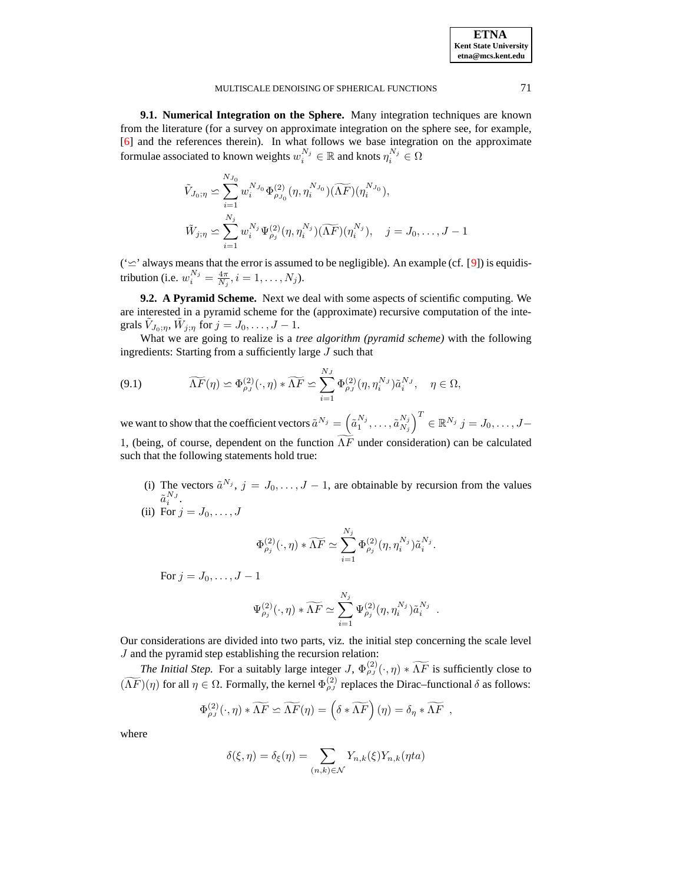**9.1. Numerical Integration on the Sphere.** Many integration techniques are known from the literature (for a survey on approximate integration on the sphere see, for example, [\[6\]](#page-20-0) and the references therein). In what follows we base integration on the approximate formulae associated to known weights  $w_i^{N_j} \in \mathbb{R}$  and knots  $\eta_i^{N_j} \in \Omega$ 

$$
\tilde{V}_{J_0; \eta} \simeq \sum_{i=1}^{N_{J_0}} w_i^{N_{J_0}} \Phi_{\rho_{J_0}}^{(2)}(\eta, \eta_i^{N_{J_0}})(\widetilde{\Lambda F})(\eta_i^{N_{J_0}}),
$$
  

$$
\tilde{W}_{j; \eta} \simeq \sum_{i=1}^{N_j} w_i^{N_j} \Psi_{\rho_j}^{(2)}(\eta, \eta_i^{N_j})(\widetilde{\Lambda F})(\eta_i^{N_j}), \quad j = J_0, \dots, J-1
$$

( $\cong$ ' always means that the error is assumed to be negligible). An example (cf. [\[9\]](#page-20-3)) is equidistribution (i.e.  $w_i^{N_j} = \frac{4\pi}{N_j}, i = 1, \dots, N_j$ ).

**9.2. A Pyramid Scheme.** Next we deal with some aspects of scientific computing. We are interested in a pyramid scheme for the (approximate) recursive computation of the integrals  $\tilde{V}_{J_0;\eta}$ ,  $\tilde{W}_{j;\eta}$  for  $j = J_0, \ldots, J-1$ .

What we are going to realize is a *tree algorithm (pyramid scheme)* with the following ingredients: Starting from a sufficiently large J such that

(9.1) 
$$
\widetilde{\Lambda F}(\eta) \simeq \Phi_{\rho_J}^{(2)}(\cdot, \eta) * \widetilde{\Lambda F} \simeq \sum_{i=1}^{N_J} \Phi_{\rho_J}^{(2)}(\eta, \eta_i^{N_J}) \tilde{a}_i^{N_J}, \quad \eta \in \Omega,
$$

we want to show that the coefficient vectors  $\tilde{a}^{N_j} = \left(\tilde{a}_1^{N_j}, \ldots, \tilde{a}_{N_j}^{N_j}\right)$  $N_j$  $\left(\right)^T \in \mathbb{R}^{N_j}$   $j=J_0,\ldots,J-1$ 1, (being, of course, dependent on the function  $\widetilde{\Lambda F}$  under consideration) can be calculated such that the following statements hold true:

(i) The vectors  $\tilde{a}^{N_j}$ ,  $j = J_0, \ldots, J-1$ , are obtainable by recursion from the values  $\tilde{a}_i^{N_J}$ .

(ii) For 
$$
j = J_0, \ldots, J
$$

$$
\Phi_{\rho_j}^{(2)}(\cdot, \eta) * \widetilde{\Lambda F} \simeq \sum_{i=1}^{N_j} \Phi_{\rho_j}^{(2)}(\eta, \eta_i^{N_j}) \tilde{a}_i^{N_j}.
$$

For  $j = J_0, \ldots, J-1$ 

$$
\Psi_{\rho_j}^{(2)}(\cdot,\eta) * \widetilde{\Lambda F} \simeq \sum_{i=1}^{N_j} \Psi_{\rho_j}^{(2)}(\eta,\eta_i^{N_j}) \widetilde{a}_i^{N_j} .
$$

Our considerations are divided into two parts, viz. the initial step concerning the scale level J and the pyramid step establishing the recursion relation:

*The Initial Step.* For a suitably large integer  $J$ ,  $\Phi_{\rho J}^{(2)}(\cdot, \eta) * \widetilde{\Lambda F}$  is sufficiently close to  $(\widetilde{\Lambda F})(\eta)$  for all  $\eta \in \Omega$ . Formally, the kernel  $\Phi_{\rho}^{(2)}$  replaces the Dirac–functional  $\delta$  as follows:

$$
\Phi_{\rho_J}^{(2)}(\cdot,\eta) * \widetilde{\Lambda F} \simeq \widetilde{\Lambda F}(\eta) = \left(\delta * \widetilde{\Lambda F}\right)(\eta) = \delta_\eta * \widetilde{\Lambda F} ,
$$

where

$$
\delta(\xi, \eta) = \delta_{\xi}(\eta) = \sum_{(n,k)\in\mathcal{N}} Y_{n,k}(\xi) Y_{n,k}(\eta t a)
$$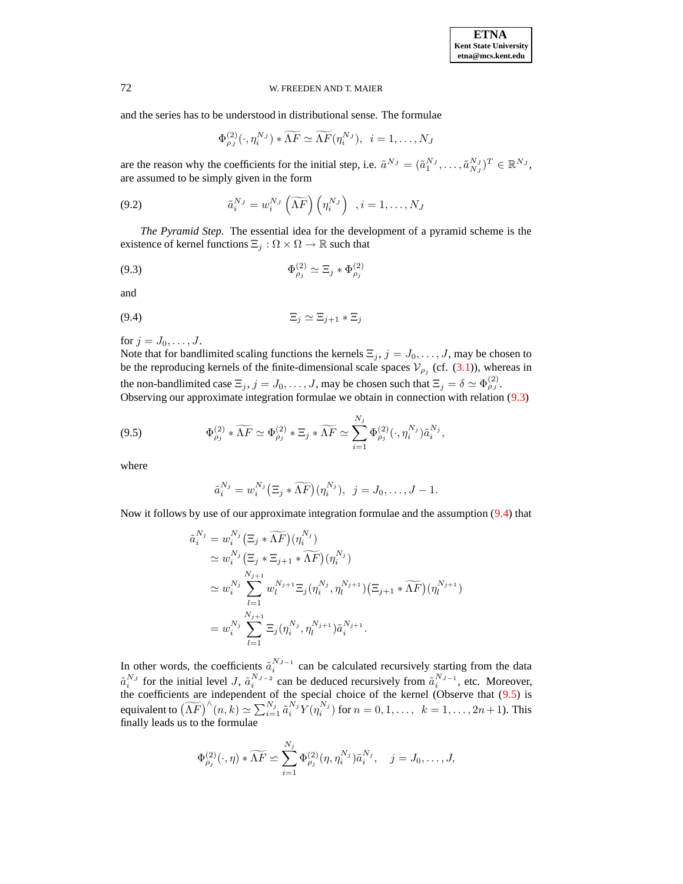and the series has to be understood in distributional sense. The formulae

$$
\Phi_{\rho_J}^{(2)}(\cdot,\eta_i^{N_J}) * \widetilde{\Lambda F} \simeq \widetilde{\Lambda F}(\eta_i^{N_J}), \ \ i = 1,\ldots,N_J
$$

are the reason why the coefficients for the initial step, i.e.  $\tilde{a}^{N_J} = (\tilde{a}_1^{N_J}, \dots, \tilde{a}_{N_J}^{N_J})^T \in \mathbb{R}^{N_J}$ , are assumed to be simply given in the form

<span id="page-16-3"></span>(9.2) 
$$
\tilde{a}_i^{N_J} = w_i^{N_J} \left( \widetilde{\Lambda F} \right) \left( \eta_i^{N_J} \right) , i = 1, \dots, N_J
$$

*The Pyramid Step.* The essential idea for the development of a pyramid scheme is the existence of kernel functions  $\Xi_j : \Omega \times \Omega \to \mathbb{R}$  such that

<span id="page-16-0"></span>
$$
\Phi_{\rho_j}^{(2)} \simeq \Xi_j \ast \Phi_{\rho_j}^{(2)}
$$

<span id="page-16-1"></span>and

$$
(9.4) \t\t\t\t\mathbb{E}_j \simeq \mathbb{E}_{j+1} * \mathbb{E}_j
$$

for  $j = J_0, \ldots, J$ .

Note that for bandlimited scaling functions the kernels  $\Xi_j$ ,  $j = J_0, \ldots, J$ , may be chosen to be the reproducing kernels of the finite-dimensional scale spaces  $V_{\rho_j}$  (cf. [\(3.1\)](#page-2-0)), whereas in the non-bandlimited case  $\Xi_j$ ,  $j = J_0, \ldots, J$ , may be chosen such that  $\Xi_j = \delta \simeq \Phi_{\rho_j}^{(2)}$ . Observing our approximate integration formulae we obtain in connection with relation [\(9.3\)](#page-16-0)

<span id="page-16-2"></span>
$$
(9.5) \qquad \Phi_{\rho_j}^{(2)} * \widetilde{\Lambda F} \simeq \Phi_{\rho_j}^{(2)} * \Xi_j * \widetilde{\Lambda F} \simeq \sum_{i=1}^{N_j} \Phi_{\rho_j}^{(2)}(\cdot, \eta_i^{N_j}) \tilde{a}_i^{N_j},
$$

where

$$
\tilde{a}_i^{N_j} = w_i^{N_j} \left( \Xi_j * \widetilde{\Lambda F} \right) (\eta_i^{N_j}), \ \ j = J_0, \dots, J-1.
$$

Now it follows by use of our approximate integration formulae and the assumption [\(9.4\)](#page-16-1) that

$$
\tilde{a}_{i}^{N_{j}} = w_{i}^{N_{j}} (\Xi_{j} * \widetilde{\Lambda F})(\eta_{i}^{N_{j}})
$$
\n
$$
\simeq w_{i}^{N_{j}} (\Xi_{j} * \Xi_{j+1} * \widetilde{\Lambda F})(\eta_{i}^{N_{j}})
$$
\n
$$
\simeq w_{i}^{N_{j}} \sum_{l=1}^{N_{j+1}} w_{l}^{N_{j+1}} \Xi_{j}(\eta_{i}^{N_{j}}, \eta_{l}^{N_{j+1}})(\Xi_{j+1} * \widetilde{\Lambda F})(\eta_{l}^{N_{j+1}})
$$
\n
$$
= w_{i}^{N_{j}} \sum_{l=1}^{N_{j+1}} \Xi_{j}(\eta_{i}^{N_{j}}, \eta_{l}^{N_{j+1}}) \tilde{a}_{i}^{N_{j+1}}.
$$

In other words, the coefficients  $\tilde{a}_i^{N_{J-1}}$  can be calculated recursively starting from the data  $\tilde{a}_i^{N_J}$  for the initial level J,  $\tilde{a}_i^{N_{J-2}}$  can be deduced recursively from  $\tilde{a}_i^{N_{J-1}}$ , etc. Moreover, the coefficients are independent of the special choice of the kernel (Observe that [\(9.5\)](#page-16-2) is equivalent to  $\widetilde{(AF)}^{\wedge}(n,k) \simeq \sum_{i=1}^{N_j} \widetilde{a}_i^{N_j} Y(\eta_i^{N_j})$  for  $n = 0, 1, ..., k = 1, ..., 2n+1$ ). This finally leads us to the formulae

$$
\Phi_{\rho_j}^{(2)}(\cdot,\eta) * \widetilde{\Lambda F} \simeq \sum_{i=1}^{N_j} \Phi_{\rho_j}^{(2)}(\eta,\eta_i^{N_j}) \tilde{a}_i^{N_j}, \quad j = J_0,\ldots,J,
$$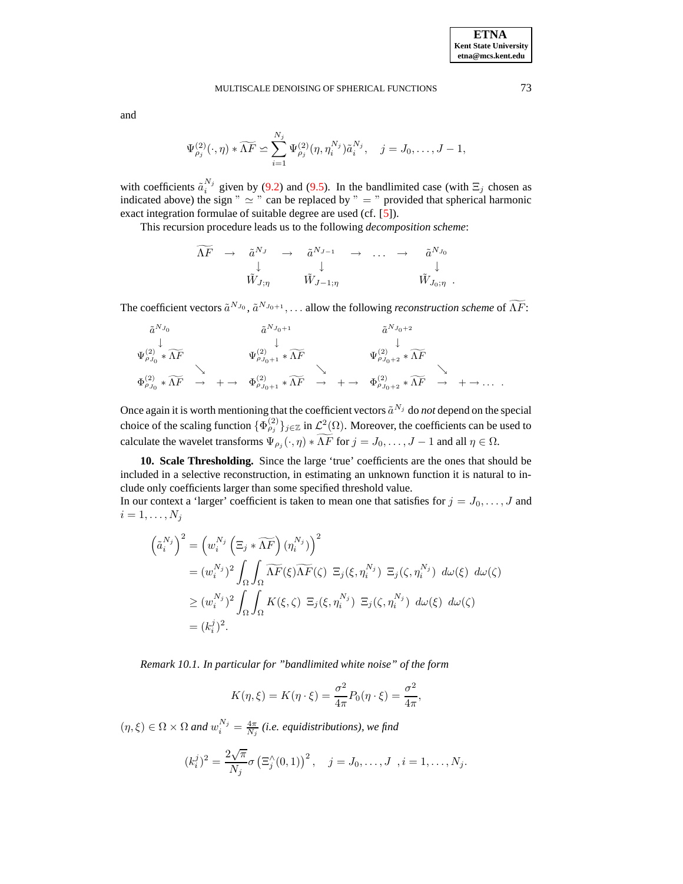and

$$
\Psi_{\rho_j}^{(2)}(\cdot,\eta) * \widetilde{\Lambda F} \simeq \sum_{i=1}^{N_j} \Psi_{\rho_j}^{(2)}(\eta,\eta_i^{N_j}) \tilde{a}_i^{N_j}, \quad j = J_0, \ldots, J-1,
$$

with coefficients  $\tilde{a}_i^{N_j}$  given by [\(9.2\)](#page-16-3) and [\(9.5\)](#page-16-2). In the bandlimited case (with  $\Xi_j$  chosen as indicated above) the sign "  $\simeq$  " can be replaced by "  $=$  " provided that spherical harmonic exact integration formulae of suitable degree are used (cf. [\[5\]](#page-20-9)).

This recursion procedure leads us to the following *decomposition scheme*:

$$
\begin{array}{ccccccc}\n\widetilde{\Lambda F} & \to & \widetilde{a}^{N_J} & \to & \widetilde{a}^{N_{J-1}} & \to & \dots & \to & \widetilde{a}^{N_{J_0}} \\
& & \downarrow & & \downarrow & & \downarrow & & \downarrow \\
& & \tilde{W}_{J;\eta} & & \tilde{W}_{J-1;\eta} & & & \tilde{W}_{J_0;\eta} \end{array}
$$

The coefficient vectors  $\tilde{a}^{N_{J_0}}, \tilde{a}^{N_{J_0+1}}, \ldots$  allow the following *reconstruction scheme* of  $\Lambda F$ :

$$
\tilde{a}^{N_{J_0}} \downarrow \qquad \qquad \tilde{a}^{N_{J_0+1}} \downarrow \qquad \qquad \tilde{a}^{N_{J_0+2}} \downarrow
$$
\n
$$
\Psi_{\rho_{J_0}}^{(2)} * \widetilde{\Lambda F} \qquad \qquad \Psi_{\rho_{J_0+1}}^{(2)} * \widetilde{\Lambda F} \qquad \qquad \Psi_{\rho_{J_0+2}}^{(2)} * \widetilde{\Lambda F} \qquad \qquad \downarrow
$$
\n
$$
\Phi_{\rho_{J_0}}^{(2)} * \widetilde{\Lambda F} \qquad \to \qquad \qquad \Phi_{\rho_{J_0+1}}^{(2)} * \widetilde{\Lambda F} \qquad \qquad \searrow
$$

Once again it is worth mentioning that the coefficient vectors  $\tilde{a}^{N_j}$  do *not* depend on the special choice of the scaling function  $\{\Phi_{\rho_j}^{(2)}\}_{j\in\mathbb{Z}}$  in  $\mathcal{L}^2(\Omega)$ . Moreover, the coefficients can be used to calculate the wavelet transforms  $\Psi_{\rho_j}(\cdot, \eta) * \Lambda F$  for  $j = J_0, \dots, J-1$  and all  $\eta \in \Omega$ .

**10. Scale Thresholding.** Since the large 'true' coefficients are the ones that should be included in a selective reconstruction, in estimating an unknown function it is natural to include only coefficients larger than some specified threshold value.

In our context a 'larger' coefficient is taken to mean one that satisfies for  $j = J_0, \ldots, J$  and  $i=1,\ldots,N_j$ 

$$
\left(\tilde{a}_{i}^{N_{j}}\right)^{2} = \left(w_{i}^{N_{j}}\left(\Xi_{j} * \widetilde{\Lambda F}\right)(\eta_{i}^{N_{j}})\right)^{2}
$$
\n
$$
= (w_{i}^{N_{j}})^{2} \int_{\Omega} \int_{\Omega} \widetilde{\Lambda F}(\xi) \widetilde{\Lambda F}(\zeta) \ \Xi_{j}(\xi, \eta_{i}^{N_{j}}) \ \Xi_{j}(\zeta, \eta_{i}^{N_{j}}) \ d\omega(\xi) \ d\omega(\zeta)
$$
\n
$$
\geq (w_{i}^{N_{j}})^{2} \int_{\Omega} \int_{\Omega} K(\xi, \zeta) \ \Xi_{j}(\xi, \eta_{i}^{N_{j}}) \ \Xi_{j}(\zeta, \eta_{i}^{N_{j}}) \ d\omega(\xi) \ d\omega(\zeta)
$$
\n
$$
= (k_{i}^{j})^{2}.
$$

*Remark 10.1. In particular for "bandlimited white noise" of the form*

$$
K(\eta,\xi)=K(\eta\cdot\xi)=\frac{\sigma^2}{4\pi}P_0(\eta\cdot\xi)=\frac{\sigma^2}{4\pi},
$$

 $(\eta, \xi) \in \Omega \times \Omega$  and  $w_i^{N_j} = \frac{4\pi}{N_j}$  (i.e. equidistributions), we find

$$
(k_i^j)^2 = \frac{2\sqrt{\pi}}{N_j} \sigma \left( \Xi_j^{\wedge}(0,1) \right)^2, \quad j = J_0, \dots, J \ \ , i = 1, \dots, N_j.
$$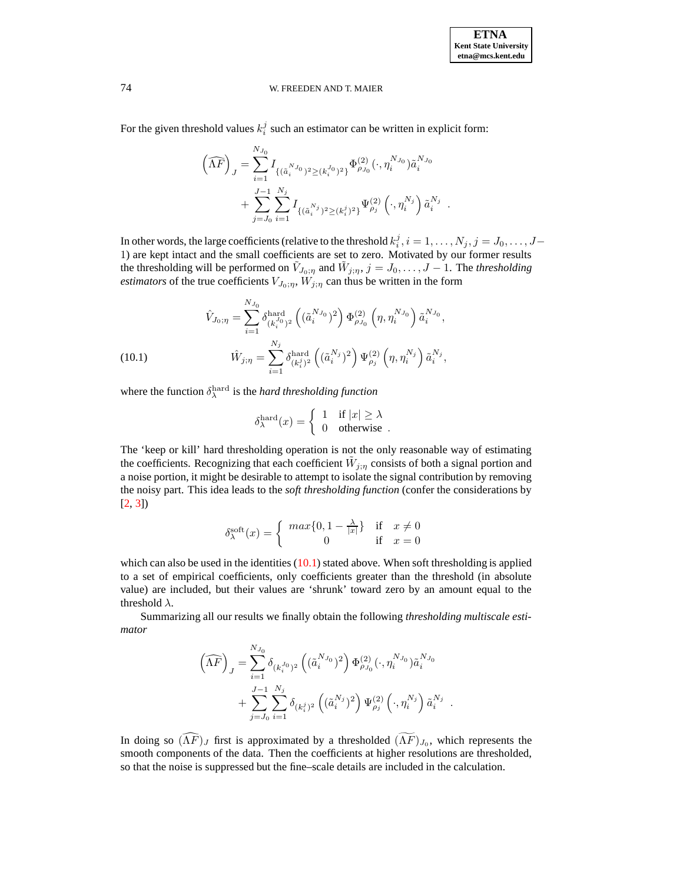For the given threshold values  $k_i^j$  such an estimator can be written in explicit form:

$$
\left(\widehat{\Lambda F}\right)_J = \sum_{i=1}^{N_{J_0}} I_{\{(\tilde{a}_i^{N_{J_0}})^2 \ge (k_i^{J_0})^2\}} \Phi_{\rho_{J_0}}^{(2)}(\cdot, \eta_i^{N_{J_0}}) \tilde{a}_i^{N_{J_0}} + \sum_{j=J_0}^{J-1} \sum_{i=1}^{N_j} I_{\{(\tilde{a}_i^{N_j})^2 \ge (k_i^j)^2\}} \Psi_{\rho_j}^{(2)}(\cdot, \eta_i^{N_j}) \tilde{a}_i^{N_j}.
$$

In other words, the large coefficients (relative to the threshold  $k_i^j, i = 1, \ldots, N_j, j = J_0, \ldots, J-$ 1) are kept intact and the small coefficients are set to zero. Motivated by our former results the thresholding will be performed on  $\tilde{V}_{J_0;\eta}$  and  $\tilde{W}_{j;\eta}, j = J_0, \ldots, J-1$ . The *thresholding estimators* of the true coefficients  $V_{J_0;\eta}$ ,  $W'_{j;\eta}$  can thus be written in the form

<span id="page-18-0"></span>(10.1) 
$$
\hat{V}_{J_0; \eta} = \sum_{i=1}^{N_{J_0}} \delta_{(k_i^{J_0})^2}^{\text{hard}} \left( (\tilde{a}_i^{N_{J_0}})^2 \right) \Phi_{\rho_{J_0}}^{(2)} \left( \eta, \eta_i^{N_{J_0}} \right) \tilde{a}_i^{N_{J_0}},
$$

$$
\hat{W}_{j; \eta} = \sum_{i=1}^{N_j} \delta_{(k_i^j)^2}^{\text{hard}} \left( (\tilde{a}_i^{N_j})^2 \right) \Psi_{\rho_j}^{(2)} \left( \eta, \eta_i^{N_j} \right) \tilde{a}_i^{N_j},
$$

where the function  $\delta_{\lambda}^{\text{hard}}$  is the *hard thresholding function* 

$$
\delta^{\text{hard}}_\lambda(x) = \left\{ \begin{array}{ll} 1 & \text{if } |x| \geq \lambda \\ 0 & \text{otherwise} \end{array} \right. .
$$

The 'keep or kill' hard thresholding operation is not the only reasonable way of estimating the coefficients. Recognizing that each coefficient  $\tilde{W}_{j;\eta}$  consists of both a signal portion and a noise portion, it might be desirable to attempt to isolate the signal contribution by removing the noisy part. This idea leads to the *soft thresholding function* (confer the considerations by [\[2,](#page-20-5) [3\]](#page-20-6))

$$
\delta^{\text{soft}}_{\lambda}(x) = \begin{cases} \max\{0, 1 - \frac{\lambda}{|x|}\} & \text{if } x \neq 0 \\ 0 & \text{if } x = 0 \end{cases}
$$

which can also be used in the identities  $(10.1)$  stated above. When soft thresholding is applied to a set of empirical coefficients, only coefficients greater than the threshold (in absolute value) are included, but their values are 'shrunk' toward zero by an amount equal to the threshold  $\lambda$ .

Summarizing all our results we finally obtain the following *thresholding multiscale estimator*

$$
\left(\widehat{\Lambda F}\right)_J = \sum_{i=1}^{N_{J_0}} \delta_{(k_i^{J_0})^2} \left((\tilde{a}_i^{N_{J_0}})^2\right) \Phi_{\rho_{J_0}}^{(2)}(\cdot, \eta_i^{N_{J_0}}) \tilde{a}_i^{N_{J_0}} + \sum_{j=J_0}^{J-1} \sum_{i=1}^{N_j} \delta_{(k_i^j)^2} \left((\tilde{a}_i^{N_j})^2\right) \Psi_{\rho_j}^{(2)}(\cdot, \eta_i^{N_j}) \tilde{a}_i^{N_j} .
$$

In doing so  $(\Lambda F)_J$  first is approximated by a thresholded  $(\Lambda F)_{J_0}$ , which represents the smooth components of the data. Then the coefficients at higher resolutions are thresholded, so that the noise is suppressed but the fine–scale details are included in the calculation.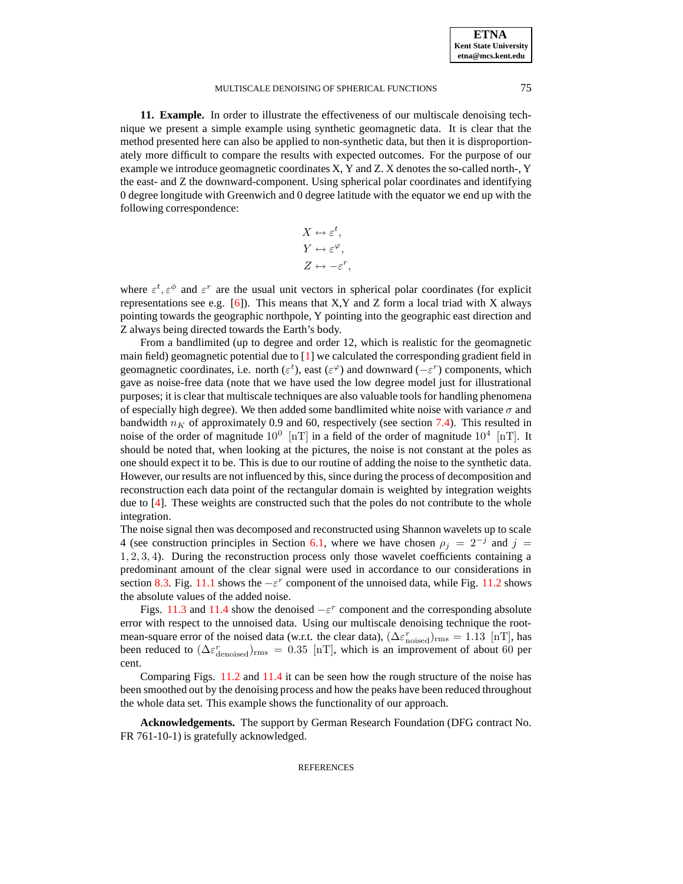**11. Example.** In order to illustrate the effectiveness of our multiscale denoising technique we present a simple example using synthetic geomagnetic data. It is clear that the method presented here can also be applied to non-synthetic data, but then it is disproportionately more difficult to compare the results with expected outcomes. For the purpose of our example we introduce geomagnetic coordinates X, Y and Z. X denotes the so-called north-, Y the east- and Z the downward-component. Using spherical polar coordinates and identifying 0 degree longitude with Greenwich and 0 degree latitude with the equator we end up with the following correspondence:

$$
X \leftrightarrow \varepsilon^{t},
$$
  
\n
$$
Y \leftrightarrow \varepsilon^{\varphi},
$$
  
\n
$$
Z \leftrightarrow -\varepsilon^{r},
$$

where  $\varepsilon^t, \varepsilon^{\phi}$  and  $\varepsilon^r$  are the usual unit vectors in spherical polar coordinates (for explicit representations see e.g. [\[6\]](#page-20-0)). This means that  $X, Y$  and  $Z$  form a local triad with  $X$  always pointing towards the geographic northpole, Y pointing into the geographic east direction and Z always being directed towards the Earth's body.

From a bandlimited (up to degree and order 12, which is realistic for the geomagnetic main field) geomagnetic potential due to [\[1\]](#page-20-13) we calculated the corresponding gradient field in geomagnetic coordinates, i.e. north ( $\varepsilon^t$ ), east ( $\varepsilon^\varphi$ ) and downward ( $-\varepsilon^r$ ) components, which gave as noise-free data (note that we have used the low degree model just for illustrational purposes; it is clear that multiscale techniques are also valuable tools for handling phenomena of especially high degree). We then added some bandlimited white noise with variance  $\sigma$  and bandwidth  $n<sub>K</sub>$  of approximately 0.9 and 60, respectively (see section [7.4\)](#page-10-0). This resulted in noise of the order of magnitude  $10^0$  [nT] in a field of the order of magnitude  $10^4$  [nT]. It should be noted that, when looking at the pictures, the noise is not constant at the poles as one should expect it to be. This is due to our routine of adding the noise to the synthetic data. However, our results are not influenced by this, since during the process of decomposition and reconstruction each data point of the rectangular domain is weighted by integration weights due to [\[4\]](#page-20-14). These weights are constructed such that the poles do not contribute to the whole integration.

The noise signal then was decomposed and reconstructed using Shannon wavelets up to scale 4 (see construction principles in Section [6.1,](#page-7-1) where we have chosen  $\rho_j = 2^{-j}$  and  $j =$ 1, 2, 3, 4). During the reconstruction process only those wavelet coefficients containing a predominant amount of the clear signal were used in accordance to our considerations in section [8.3.](#page-14-0) Fig. [11.1](#page-20-15) shows the  $-\varepsilon^r$  component of the unnoised data, while Fig. [11.2](#page-21-0) shows the absolute values of the added noise.

Figs. [11.3](#page-21-1) and [11.4](#page-22-0) show the denoised  $-\varepsilon^r$  component and the corresponding absolute error with respect to the unnoised data. Using our multiscale denoising technique the rootmean-square error of the noised data (w.r.t. the clear data),  $(\Delta \varepsilon_{\text{noiseed}}^r)_{\text{rms}} = 1.13$  [nT], has been reduced to  $(\Delta \varepsilon_{\text{denoised}}^r)_{\text{rms}} = 0.35$  [nT], which is an improvement of about 60 per cent.

Comparing Figs. [11.2](#page-21-0) and [11.4](#page-22-0) it can be seen how the rough structure of the noise has been smoothed out by the denoising process and how the peaks have been reduced throughout the whole data set. This example shows the functionality of our approach.

**Acknowledgements.** The support by German Research Foundation (DFG contract No. FR 761-10-1) is gratefully acknowledged.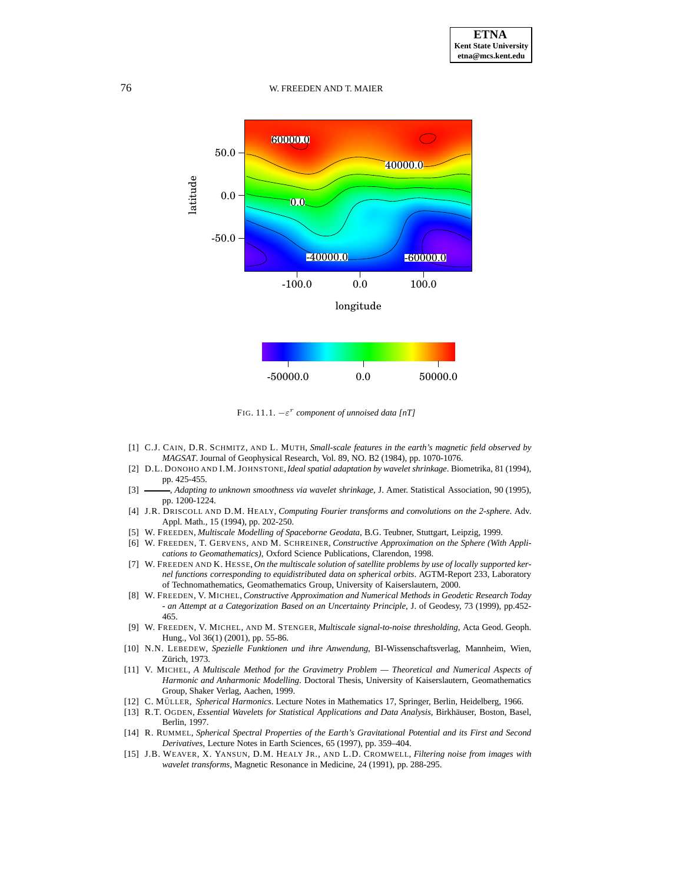

<span id="page-20-15"></span>FIG. 11.1. −ε r *component of unnoised data [nT]*

- <span id="page-20-13"></span>[1] C.J. CAIN, D.R. SCHMITZ, AND L. MUTH, *Small-scale features in the earth's magnetic field observed by MAGSAT*. Journal of Geophysical Research, Vol. 89, NO. B2 (1984), pp. 1070-1076.
- <span id="page-20-5"></span>[2] D.L. DONOHO AND I.M. JOHNSTONE,*Ideal spatial adaptation by wavelet shrinkage*. Biometrika, 81 (1994), pp. 425-455.
- <span id="page-20-6"></span>[3] , *Adapting to unknown smoothness via wavelet shrinkage*, J. Amer. Statistical Association, 90 (1995), pp. 1200-1224.
- <span id="page-20-14"></span>[4] J.R. DRISCOLL AND D.M. HEALY, *Computing Fourier transforms and convolutions on the 2-sphere*. Adv. Appl. Math., 15 (1994), pp. 202-250.
- <span id="page-20-9"></span>[5] W. FREEDEN, *Multiscale Modelling of Spaceborne Geodata*, B.G. Teubner, Stuttgart, Leipzig, 1999.
- <span id="page-20-0"></span>[6] W. FREEDEN, T. GERVENS, AND M. SCHREINER, *Constructive Approximation on the Sphere (With Applications to Geomathematics)*, Oxford Science Publications, Clarendon, 1998.
- <span id="page-20-12"></span>[7] W. FREEDEN AND K. HESSE, *On the multiscale solution of satellite problems by use of locally supported kernel functions corresponding to equidistributed data on spherical orbits*. AGTM-Report 233, Laboratory of Technomathematics, Geomathematics Group, University of Kaiserslautern, 2000.
- <span id="page-20-1"></span>[8] W. FREEDEN, V. MICHEL, *Constructive Approximation and Numerical Methods in Geodetic Research Today - an Attempt at a Categorization Based on an Uncertainty Principle*, J. of Geodesy, 73 (1999), pp.452- 465.
- <span id="page-20-3"></span>[9] W. FREEDEN, V. MICHEL, AND M. STENGER, *Multiscale signal-to-noise thresholding*, Acta Geod. Geoph. Hung., Vol 36(1) (2001), pp. 55-86.
- <span id="page-20-11"></span>[10] N.N. LEBEDEW, *Spezielle Funktionen und ihre Anwendung*, BI-Wissenschaftsverlag, Mannheim, Wien, Zürich, 1973.
- <span id="page-20-10"></span>[11] V. MICHEL, *A Multiscale Method for the Gravimetry Problem — Theoretical and Numerical Aspects of Harmonic and Anharmonic Modelling*. Doctoral Thesis, University of Kaiserslautern, Geomathematics Group, Shaker Verlag, Aachen, 1999.
- <span id="page-20-8"></span><span id="page-20-2"></span>[12] C. MÜLLER, *Spherical Harmonics*. Lecture Notes in Mathematics 17, Springer, Berlin, Heidelberg, 1966.
- [13] R.T. OGDEN, *Essential Wavelets for Statistical Applications and Data Analysis*, Birkhäuser, Boston, Basel, Berlin, 1997.
- <span id="page-20-7"></span>[14] R. RUMMEL, *Spherical Spectral Properties of the Earth's Gravitational Potential and its First and Second Derivatives*, Lecture Notes in Earth Sciences, 65 (1997), pp. 359–404.
- <span id="page-20-4"></span>[15] J.B. WEAVER, X. YANSUN, D.M. HEALY JR., AND L.D. CROMWELL, *Filtering noise from images with wavelet transforms*, Magnetic Resonance in Medicine, 24 (1991), pp. 288-295.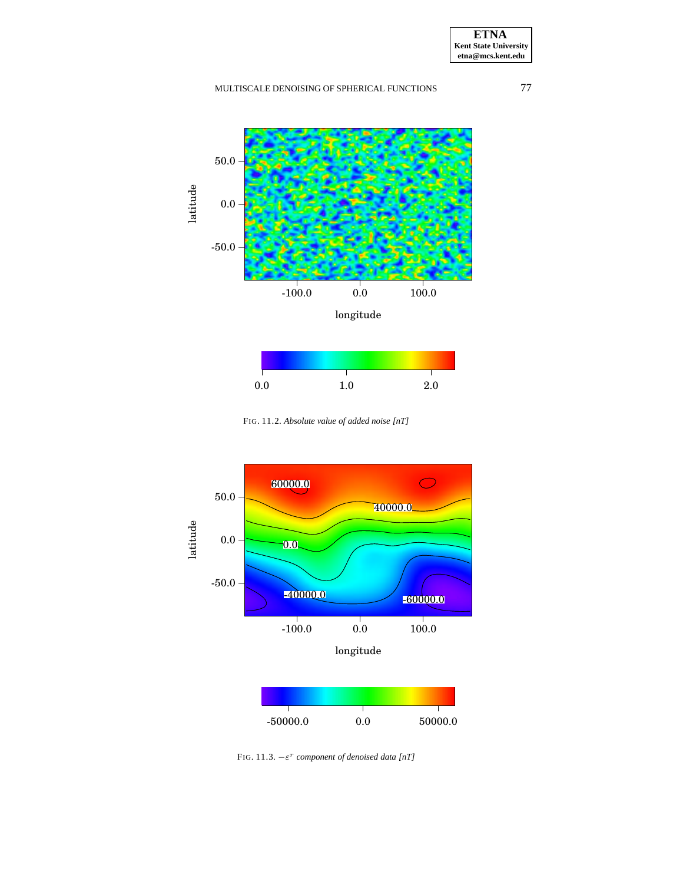



<span id="page-21-0"></span>FIG. 11.2. *Absolute value of added noise [nT]*



<span id="page-21-1"></span>FIG. 11.3.  $-\varepsilon^r$  *component of denoised data* [nT]